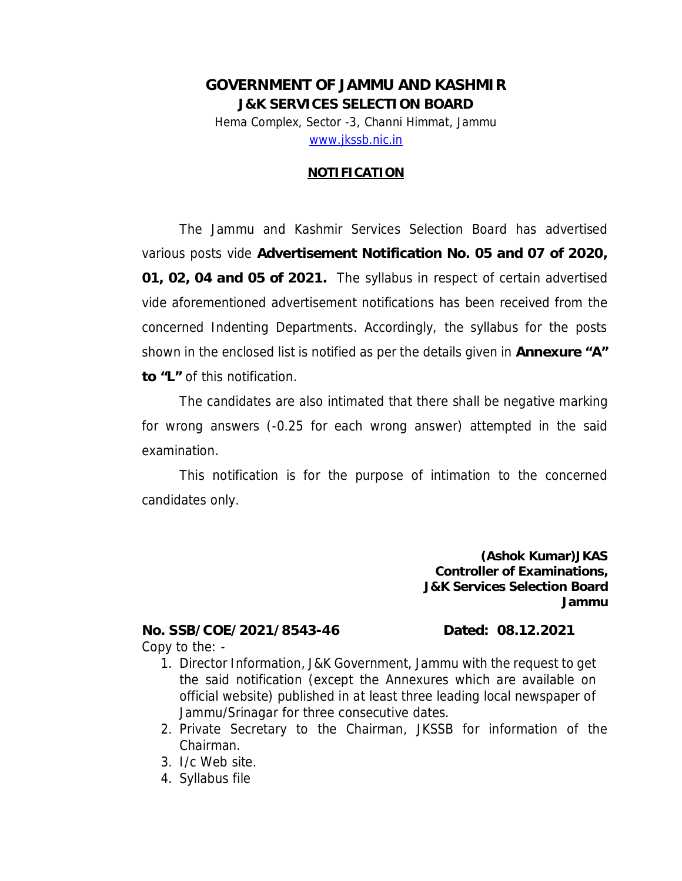### **GOVERNMENT OF JAMMU AND KASHMIR J&K SERVICES SELECTION BOARD**  Hema Complex, Sector -3, Channi Himmat, Jammu www.jkssb.nic.in

#### **NOTIFICATION**

The Jammu and Kashmir Services Selection Board has advertised various posts vide **Advertisement Notification No. 05 and 07 of 2020, 01, 02, 04 and 05 of 2021.** The syllabus in respect of certain advertised vide aforementioned advertisement notifications has been received from the concerned Indenting Departments. Accordingly, the syllabus for the posts shown in the enclosed list is notified as per the details given in **Annexure "A" to "L"** of this notification.

The candidates are also intimated that there shall be negative marking for wrong answers (-0.25 for each wrong answer) attempted in the said examination.

This notification is for the purpose of intimation to the concerned candidates only.

> **(Ashok Kumar)JKAS Controller of Examinations, J&K Services Selection Board Jammu**

**No. SSB/COE/2021/8543-46 Dated: 08.12.2021**  Copy to the: -

- 1. Director Information, J&K Government, Jammu with the request to get the said notification (except the Annexures which are available on official website) published in at least three leading local newspaper of Jammu/Srinagar for three consecutive dates.
- 2. Private Secretary to the Chairman, JKSSB for information of the Chairman.
- 3. I/c Web site.
- 4. Syllabus file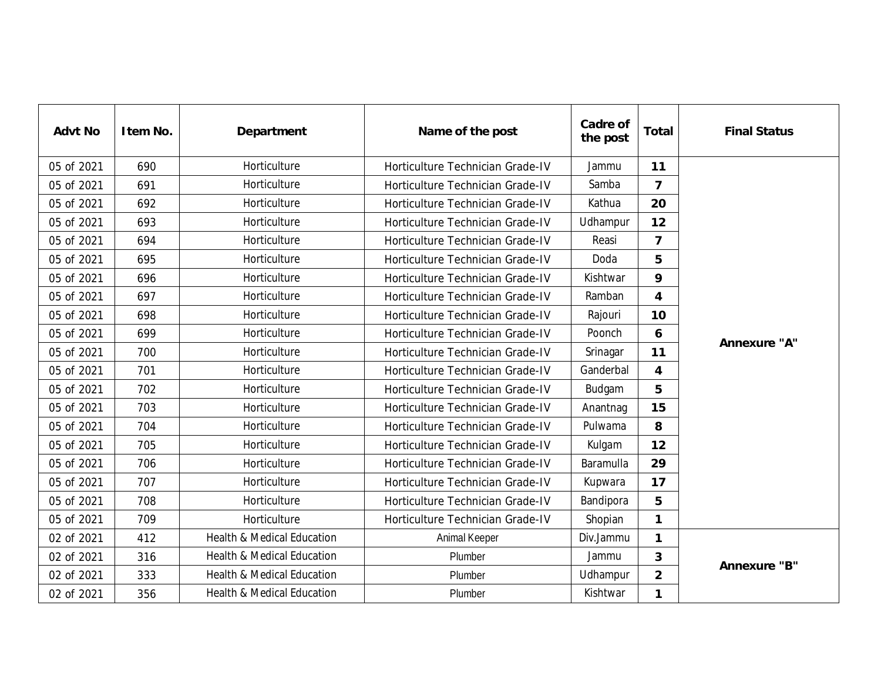| Advt No    | I tem No. | Department                            | Name of the post                 | Cadre of<br>the post | Total          | <b>Final Status</b> |  |
|------------|-----------|---------------------------------------|----------------------------------|----------------------|----------------|---------------------|--|
| 05 of 2021 | 690       | Horticulture                          | Horticulture Technician Grade-IV | Jammu                | 11             |                     |  |
| 05 of 2021 | 691       | Horticulture                          | Horticulture Technician Grade-IV | Samba                | $\overline{7}$ |                     |  |
| 05 of 2021 | 692       | Horticulture                          | Horticulture Technician Grade-IV | Kathua               | 20             |                     |  |
| 05 of 2021 | 693       | Horticulture                          | Horticulture Technician Grade-IV | Udhampur             | 12             |                     |  |
| 05 of 2021 | 694       | Horticulture                          | Horticulture Technician Grade-IV | Reasi                | $\overline{7}$ |                     |  |
| 05 of 2021 | 695       | Horticulture                          | Horticulture Technician Grade-IV | Doda                 | 5              |                     |  |
| 05 of 2021 | 696       | Horticulture                          | Horticulture Technician Grade-IV | Kishtwar             | 9              |                     |  |
| 05 of 2021 | 697       | Horticulture                          | Horticulture Technician Grade-IV | Ramban               | 4              |                     |  |
| 05 of 2021 | 698       | Horticulture                          | Horticulture Technician Grade-IV | Rajouri              | 10             |                     |  |
| 05 of 2021 | 699       | Horticulture                          | Horticulture Technician Grade-IV | Poonch               | 6              | Annexure "A"        |  |
| 05 of 2021 | 700       | Horticulture                          | Horticulture Technician Grade-IV | Srinagar             | 11             |                     |  |
| 05 of 2021 | 701       | Horticulture                          | Horticulture Technician Grade-IV | Ganderbal            | 4              |                     |  |
| 05 of 2021 | 702       | Horticulture                          | Horticulture Technician Grade-IV | Budgam               | 5              |                     |  |
| 05 of 2021 | 703       | Horticulture                          | Horticulture Technician Grade-IV | Anantnag             | 15             |                     |  |
| 05 of 2021 | 704       | Horticulture                          | Horticulture Technician Grade-IV | Pulwama              | 8              |                     |  |
| 05 of 2021 | 705       | Horticulture                          | Horticulture Technician Grade-IV | Kulgam               | 12             |                     |  |
| 05 of 2021 | 706       | Horticulture                          | Horticulture Technician Grade-IV | Baramulla            | 29             |                     |  |
| 05 of 2021 | 707       | Horticulture                          | Horticulture Technician Grade-IV | Kupwara              | 17             |                     |  |
| 05 of 2021 | 708       | Horticulture                          | Horticulture Technician Grade-IV | Bandipora            | 5              |                     |  |
| 05 of 2021 | 709       | Horticulture                          | Horticulture Technician Grade-IV | Shopian              | $\mathbf{1}$   |                     |  |
| 02 of 2021 | 412       | <b>Health &amp; Medical Education</b> | Animal Keeper                    | Div.Jammu            | $\mathbf{1}$   |                     |  |
| 02 of 2021 | 316       | Health & Medical Education            | Plumber                          | Jammu                | 3              |                     |  |
| 02 of 2021 | 333       | <b>Health &amp; Medical Education</b> | Plumber                          | Udhampur             | $\overline{2}$ | Annexure "B"        |  |
| 02 of 2021 | 356       | <b>Health &amp; Medical Education</b> | Plumber                          | Kishtwar             | 1              |                     |  |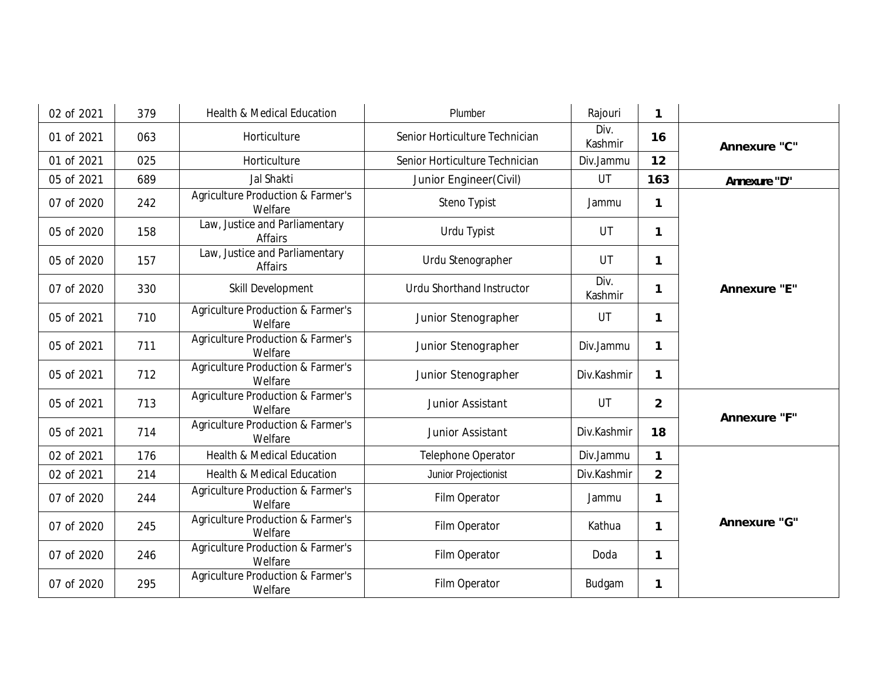| 02 of 2021 | 379 | <b>Health &amp; Medical Education</b>                   | Plumber                          | Rajouri         | $\mathbf{1}$   |              |
|------------|-----|---------------------------------------------------------|----------------------------------|-----------------|----------------|--------------|
| 01 of 2021 | 063 | Horticulture                                            | Senior Horticulture Technician   | Div.<br>Kashmir | 16             | Annexure "C" |
| 01 of 2021 | 025 | Horticulture                                            | Senior Horticulture Technician   | Div.Jammu       | 12             |              |
| 05 of 2021 | 689 | Jal Shakti<br>UT<br>Junior Engineer(Civil)              |                                  | 163             | Annexure "D"   |              |
| 07 of 2020 | 242 | <b>Agriculture Production &amp; Farmer's</b><br>Welfare | Steno Typist                     | Jammu           | $\mathbf{1}$   |              |
| 05 of 2020 | 158 | Law, Justice and Parliamentary<br><b>Affairs</b>        | Urdu Typist                      | UT              | $\mathbf{1}$   |              |
| 05 of 2020 | 157 | Law, Justice and Parliamentary<br><b>Affairs</b>        | Urdu Stenographer                | UT              | $\mathbf{1}$   |              |
| 07 of 2020 | 330 | Skill Development                                       | <b>Urdu Shorthand Instructor</b> | Div.<br>Kashmir | $\mathbf{1}$   | Annexure "E" |
| 05 of 2021 | 710 | Agriculture Production & Farmer's<br>Welfare            | Junior Stenographer              | UT              | $\mathbf{1}$   |              |
| 05 of 2021 | 711 | <b>Agriculture Production &amp; Farmer's</b><br>Welfare | Junior Stenographer              | Div.Jammu       | $\mathbf{1}$   |              |
| 05 of 2021 | 712 | Agriculture Production & Farmer's<br>Welfare            | Junior Stenographer              | Div.Kashmir     | $\mathbf{1}$   |              |
| 05 of 2021 | 713 | Agriculture Production & Farmer's<br>Welfare            | Junior Assistant                 | UT              | $\overline{2}$ |              |
| 05 of 2021 | 714 | <b>Agriculture Production &amp; Farmer's</b><br>Welfare | Junior Assistant                 | Div.Kashmir     | 18             | Annexure "F" |
| 02 of 2021 | 176 | <b>Health &amp; Medical Education</b>                   | Telephone Operator               | Div.Jammu       | $\mathbf{1}$   |              |
| 02 of 2021 | 214 | <b>Health &amp; Medical Education</b>                   | Junior Projectionist             | Div.Kashmir     | $\overline{2}$ |              |
| 07 of 2020 | 244 | Agriculture Production & Farmer's<br>Welfare            | Film Operator                    | Jammu           | $\mathbf{1}$   |              |
| 07 of 2020 | 245 | <b>Agriculture Production &amp; Farmer's</b><br>Welfare | Film Operator                    | Kathua          | $\mathbf{1}$   | Annexure "G" |
| 07 of 2020 | 246 | Agriculture Production & Farmer's<br>Welfare            | Film Operator                    | Doda            | $\mathbf{1}$   |              |
| 07 of 2020 | 295 | Agriculture Production & Farmer's<br>Welfare            | Film Operator                    | Budgam          | 1              |              |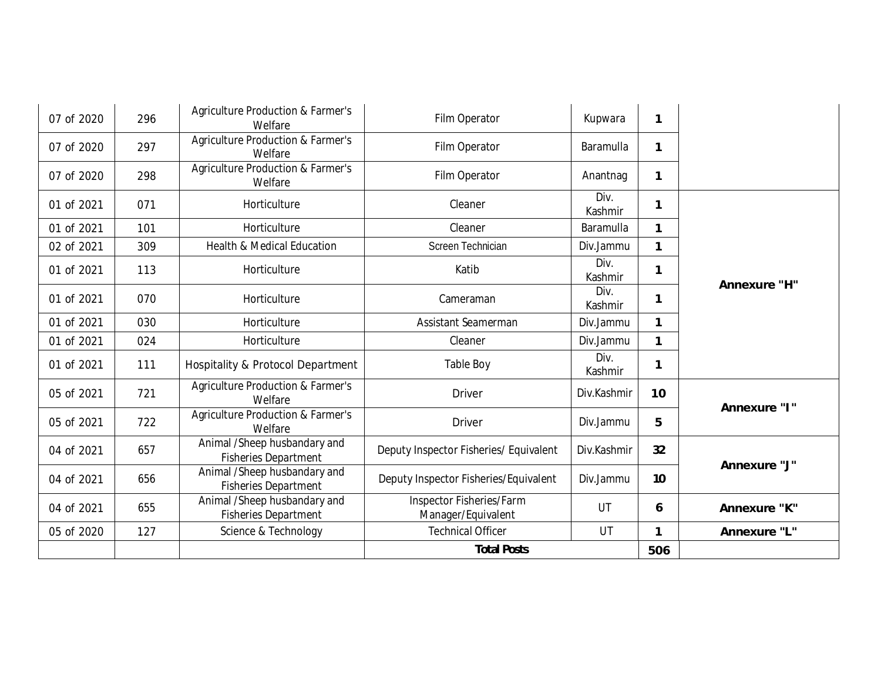| 07 of 2020 | 296 | Agriculture Production & Farmer's<br>Welfare                | Film Operator                                  | 1<br>Kupwara    |              |              |
|------------|-----|-------------------------------------------------------------|------------------------------------------------|-----------------|--------------|--------------|
| 07 of 2020 | 297 | Agriculture Production & Farmer's<br>Welfare                | Film Operator                                  | Baramulla       | 1            |              |
| 07 of 2020 | 298 | Agriculture Production & Farmer's<br>Welfare                | Film Operator                                  | Anantnag        | 1            |              |
| 01 of 2021 | 071 | Horticulture                                                | Cleaner                                        | Div.<br>Kashmir | 1            |              |
| 01 of 2021 | 101 | Horticulture                                                | Cleaner                                        | Baramulla       | 1            |              |
| 02 of 2021 | 309 | <b>Health &amp; Medical Education</b>                       | Screen Technician                              | Div.Jammu       | $\mathbf{1}$ |              |
| 01 of 2021 | 113 | Horticulture                                                | Katib                                          | Div.<br>Kashmir | 1            | Annexure "H" |
| 01 of 2021 | 070 | Horticulture                                                | Cameraman                                      | Div.<br>Kashmir | 1            |              |
| 01 of 2021 | 030 | Horticulture                                                | Assistant Seamerman                            | Div.Jammu       | 1            |              |
| 01 of 2021 | 024 | Horticulture                                                | Cleaner                                        | Div.Jammu       | $\mathbf{1}$ |              |
| 01 of 2021 | 111 | Hospitality & Protocol Department                           | <b>Table Boy</b>                               | Div.<br>Kashmir | 1            |              |
| 05 of 2021 | 721 | Agriculture Production & Farmer's<br>Welfare                | <b>Driver</b>                                  | Div.Kashmir     | 10           | Annexure "I" |
| 05 of 2021 | 722 | <b>Agriculture Production &amp; Farmer's</b><br>Welfare     | <b>Driver</b>                                  | Div.Jammu<br>5  |              |              |
| 04 of 2021 | 657 | Animal /Sheep husbandary and<br><b>Fisheries Department</b> | Deputy Inspector Fisheries/ Equivalent         | Div.Kashmir     | 32           | Annexure "J" |
| 04 of 2021 | 656 | Animal /Sheep husbandary and<br><b>Fisheries Department</b> | Deputy Inspector Fisheries/Equivalent          | Div.Jammu<br>10 |              |              |
| 04 of 2021 | 655 | Animal /Sheep husbandary and<br><b>Fisheries Department</b> | Inspector Fisheries/Farm<br>Manager/Equivalent | UT<br>6         |              | Annexure "K" |
| 05 of 2020 | 127 | Science & Technology                                        | <b>Technical Officer</b>                       | UT              | $\mathbf{1}$ | Annexure "L" |
|            |     |                                                             | <b>Total Posts</b>                             |                 | 506          |              |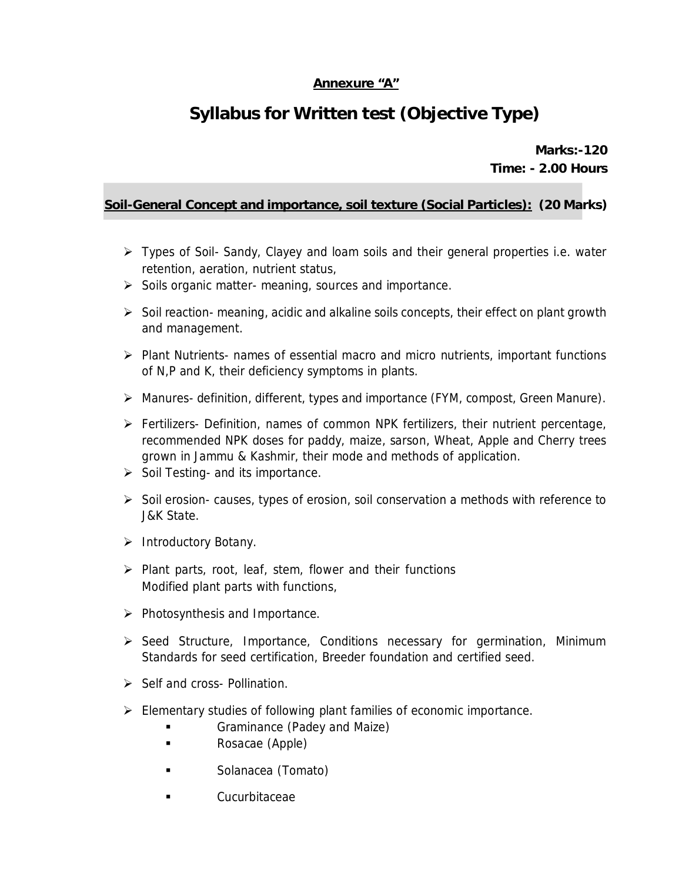### **Annexure "A"**

# **Syllabus for Written test (Objective Type)**

**Marks:-120 Time: - 2.00 Hours** 

### **Soil-General Concept and importance, soil texture (Social Particles): (20 Marks)**

- ¾ Types of Soil- Sandy, Clayey and loam soils and their general properties i.e. water retention, aeration, nutrient status,
- $\triangleright$  Soils organic matter- meaning, sources and importance.
- $\triangleright$  Soil reaction- meaning, acidic and alkaline soils concepts, their effect on plant growth and management.
- ¾ Plant Nutrients- names of essential macro and micro nutrients, important functions of N,P and K, their deficiency symptoms in plants.
- ¾ Manures- definition, different, types and importance (FYM, compost, Green Manure).
- $\triangleright$  Fertilizers- Definition, names of common NPK fertilizers, their nutrient percentage, recommended NPK doses for paddy, maize, sarson, Wheat, Apple and Cherry trees grown in Jammu & Kashmir, their mode and methods of application.
- $\triangleright$  Soil Testing- and its importance.
- ¾ Soil erosion- causes, types of erosion, soil conservation a methods with reference to J&K State.
- ¾ Introductory Botany.
- $\triangleright$  Plant parts, root, leaf, stem, flower and their functions Modified plant parts with functions,
- $\triangleright$  Photosynthesis and Importance.
- ¾ Seed Structure, Importance, Conditions necessary for germination, Minimum Standards for seed certification, Breeder foundation and certified seed.
- $\triangleright$  Self and cross- Pollination.
- $\triangleright$  Elementary studies of following plant families of economic importance.
	- Graminance (Padey and Maize)
	- **Rosacae (Apple)**
	- **Solanacea (Tomato)**
	- Cucurbitaceae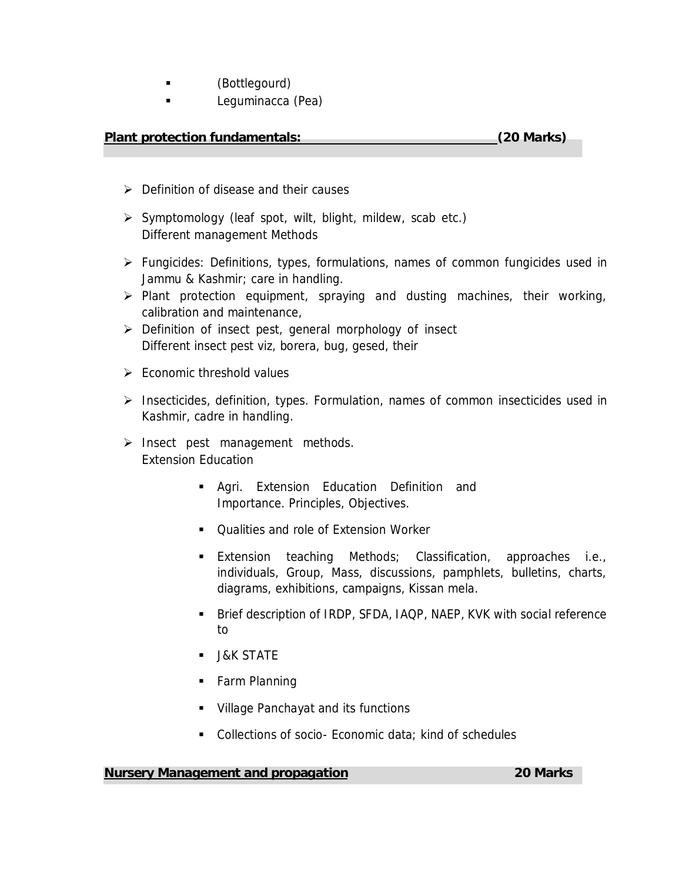- (Bottlegourd)
- **Example 2** Leguminacca (Pea)

### **Plant protection fundamentals: (20 Marks)**

- $\triangleright$  Definition of disease and their causes
- $\triangleright$  Symptomology (leaf spot, wilt, blight, mildew, scab etc.) Different management Methods
- ¾ Fungicides: Definitions, types, formulations, names of common fungicides used in Jammu & Kashmir; care in handling.
- $\triangleright$  Plant protection equipment, spraying and dusting machines, their working, calibration and maintenance,
- ¾ Definition of insect pest, general morphology of insect Different insect pest viz, borera, bug, gesed, their
- $\triangleright$  Economic threshold values
- ¾ Insecticides, definition, types. Formulation, names of common insecticides used in Kashmir, cadre in handling.
- $\triangleright$  Insect pest management methods. Extension Education
	- Agri. Extension Education Definition and Importance. Principles, Objectives.
	- Qualities and role of Extension Worker
	- **Extension teaching Methods; Classification, approaches i.e.,** individuals, Group, Mass, discussions, pamphlets, bulletins, charts, diagrams, exhibitions, campaigns, Kissan mela.
	- Brief description of IRDP, SFDA, IAQP, NAEP, KVK with social reference to
	- **J&K STATE**
	- Farm Planning
	- **Village Panchayat and its functions**
	- **Collections of socio- Economic data; kind of schedules**

#### **Nursery Management and propagation 20 Marks**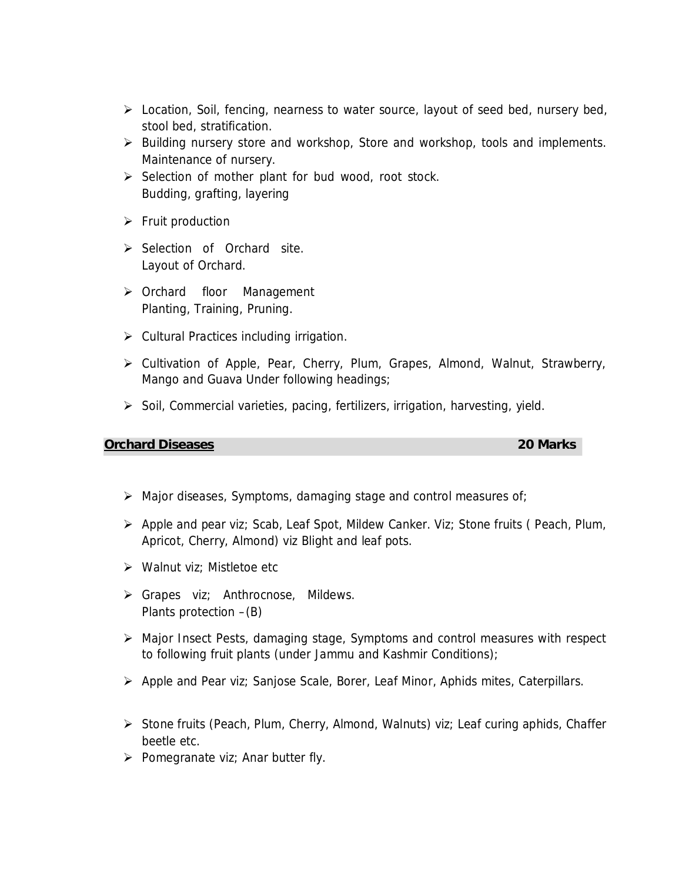- ¾ Location, Soil, fencing, nearness to water source, layout of seed bed, nursery bed, stool bed, stratification.
- $\triangleright$  Building nursery store and workshop, Store and workshop, tools and implements. Maintenance of nursery.
- $\triangleright$  Selection of mother plant for bud wood, root stock. Budding, grafting, layering
- $\triangleright$  Fruit production
- ¾ Selection of Orchard site. Layout of Orchard.
- ¾ Orchard floor Management Planting, Training, Pruning.
- $\triangleright$  Cultural Practices including irrigation.
- ¾ Cultivation of Apple, Pear, Cherry, Plum, Grapes, Almond, Walnut, Strawberry, Mango and Guava Under following headings;
- ¾ Soil, Commercial varieties, pacing, fertilizers, irrigation, harvesting, yield.

#### **Orchard Diseases 20 Marks**

 $\triangleright$  Major diseases, Symptoms, damaging stage and control measures of;

- ¾ Apple and pear viz; Scab, Leaf Spot, Mildew Canker. Viz; Stone fruits ( Peach, Plum, Apricot, Cherry, Almond) viz Blight and leaf pots.
- $\triangleright$  Walnut viz: Mistletoe etc
- ¾ Grapes viz; Anthrocnose, Mildews. Plants protection –(B)
- ¾ Major Insect Pests, damaging stage, Symptoms and control measures with respect to following fruit plants (under Jammu and Kashmir Conditions);
- ¾ Apple and Pear viz; Sanjose Scale, Borer, Leaf Minor, Aphids mites, Caterpillars.
- ¾ Stone fruits (Peach, Plum, Cherry, Almond, Walnuts) viz; Leaf curing aphids, Chaffer beetle etc.
- $\triangleright$  Pomegranate viz; Anar butter fly.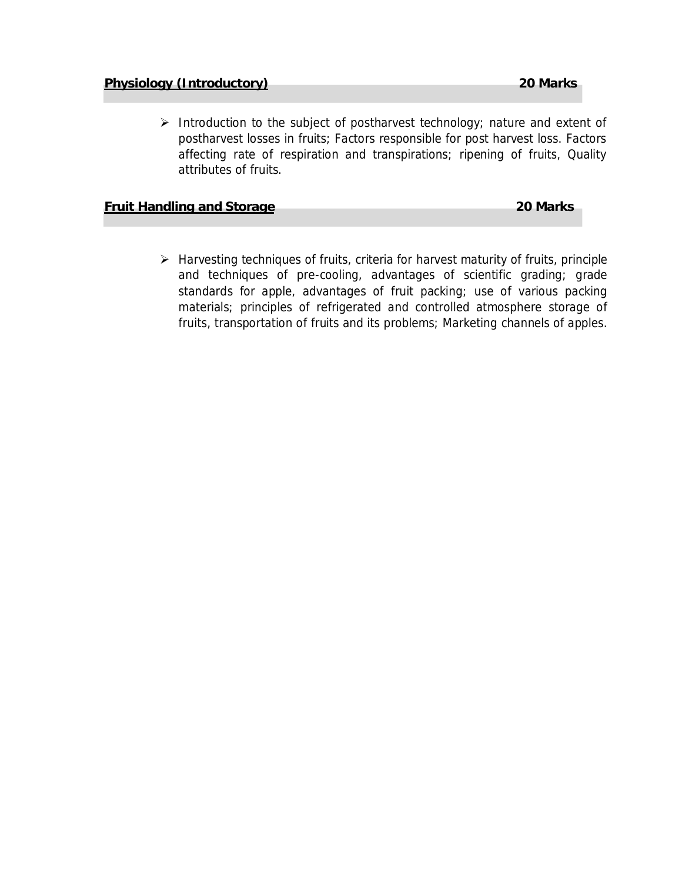$\triangleright$  Introduction to the subject of postharvest technology; nature and extent of postharvest losses in fruits; Factors responsible for post harvest loss. Factors affecting rate of respiration and transpirations; ripening of fruits, Quality attributes of fruits.

**Fruit Handling and Storage 20 Marks** 

¾ Harvesting techniques of fruits, criteria for harvest maturity of fruits, principle and techniques of pre-cooling, advantages of scientific grading; grade standards for apple, advantages of fruit packing; use of various packing materials; principles of refrigerated and controlled atmosphere storage of fruits, transportation of fruits and its problems; Marketing channels of apples.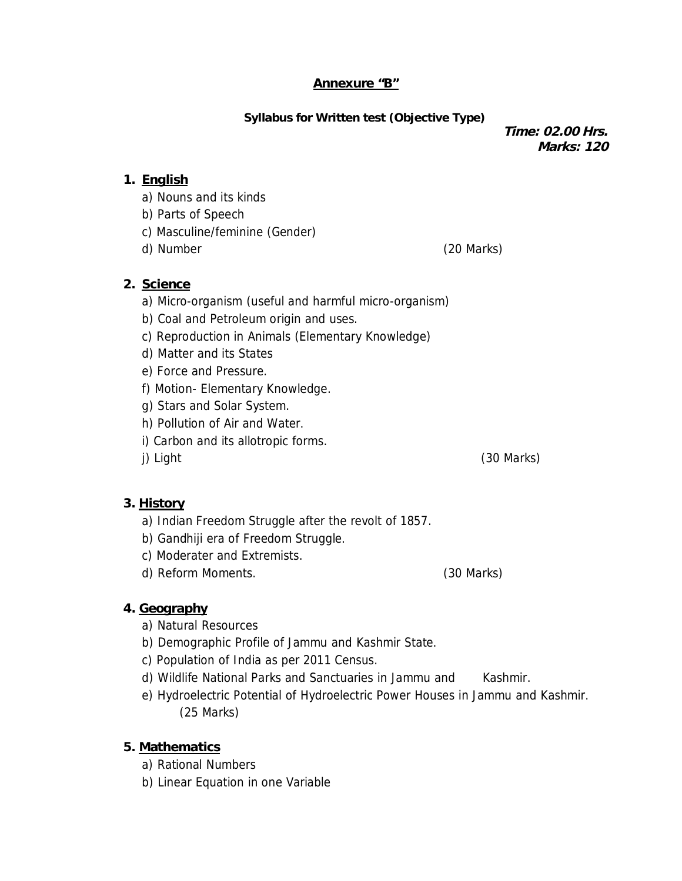#### **Annexure "B"**

**Syllabus for Written test (Objective Type)**

**Time: 02.00 Hrs. Marks: 120** 

### **1. English**

- a) Nouns and its kinds
- b) Parts of Speech
- c) Masculine/feminine (Gender)
- d) Number (20 Marks)

- **2. Science** 
	- a) Micro-organism (useful and harmful micro-organism)
	- b) Coal and Petroleum origin and uses.
	- c) Reproduction in Animals (Elementary Knowledge)
	- d) Matter and its States
	- e) Force and Pressure.
	- f) Motion- Elementary Knowledge.
	- g) Stars and Solar System.
	- h) Pollution of Air and Water.
	- i) Carbon and its allotropic forms.
	-

#### **3. History**

- a) Indian Freedom Struggle after the revolt of 1857.
- b) Gandhiji era of Freedom Struggle.
- c) Moderater and Extremists.
- d) Reform Moments. (30 Marks)

### **4. Geography**

- a) Natural Resources
- b) Demographic Profile of Jammu and Kashmir State.
- c) Population of India as per 2011 Census.
- d) Wildlife National Parks and Sanctuaries in Jammu and Kashmir.
- e) Hydroelectric Potential of Hydroelectric Power Houses in Jammu and Kashmir. (25 Marks)
- **5. Mathematics** 
	- a) Rational Numbers
	- b) Linear Equation in one Variable

j) Light (30 Marks)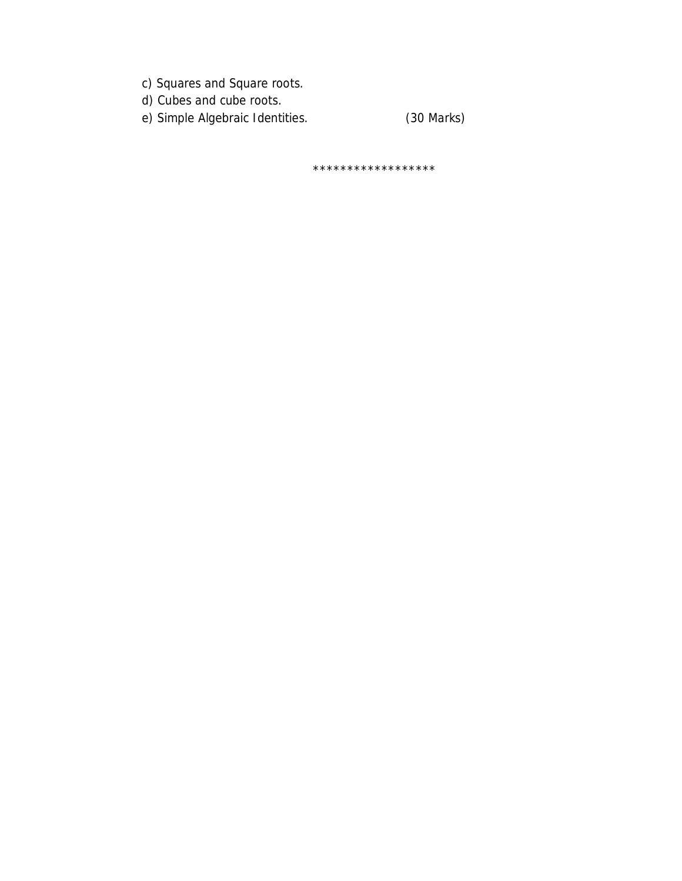- c) Squares and Square roots.
- d) Cubes and cube roots.
- (30 Marks) e) Simple Algebraic Identities.

\*\*\*\*\*\*\*\*\*\*\*\*\*\*\*\*\*\*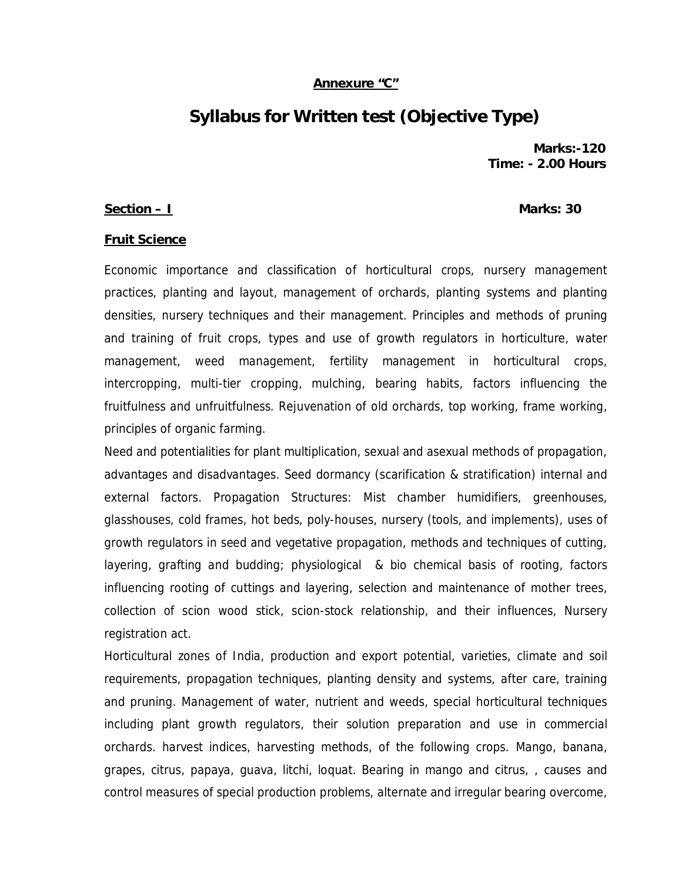#### **Annexure "C"**

## **Syllabus for Written test (Objective Type)**

**Marks:-120 Time: - 2.00 Hours** 

#### **Section – I** Marks: 30

#### **Fruit Science**

Economic importance and classification of horticultural crops, nursery management practices, planting and layout, management of orchards, planting systems and planting densities, nursery techniques and their management. Principles and methods of pruning and training of fruit crops, types and use of growth regulators in horticulture, water management, weed management, fertility management in horticultural crops, intercropping, multi-tier cropping, mulching, bearing habits, factors influencing the fruitfulness and unfruitfulness. Rejuvenation of old orchards, top working, frame working, principles of organic farming.

Need and potentialities for plant multiplication, sexual and asexual methods of propagation, advantages and disadvantages. Seed dormancy (scarification & stratification) internal and external factors. Propagation Structures: Mist chamber humidifiers, greenhouses, glasshouses, cold frames, hot beds, poly-houses, nursery (tools, and implements), uses of growth regulators in seed and vegetative propagation, methods and techniques of cutting, layering, grafting and budding; physiological & bio chemical basis of rooting, factors influencing rooting of cuttings and layering, selection and maintenance of mother trees, collection of scion wood stick, scion-stock relationship, and their influences, Nursery registration act.

Horticultural zones of India, production and export potential, varieties, climate and soil requirements, propagation techniques, planting density and systems, after care, training and pruning. Management of water, nutrient and weeds, special horticultural techniques including plant growth regulators, their solution preparation and use in commercial orchards. harvest indices, harvesting methods, of the following crops. Mango, banana, grapes, citrus, papaya, guava, litchi, loquat. Bearing in mango and citrus, , causes and control measures of special production problems, alternate and irregular bearing overcome,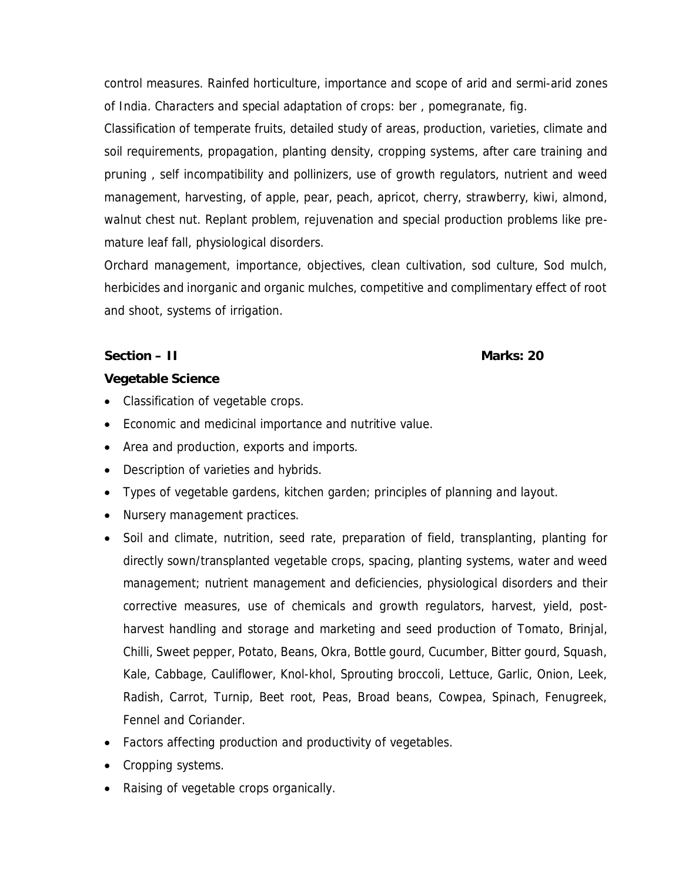control measures. Rainfed horticulture, importance and scope of arid and sermi-arid zones of India. Characters and special adaptation of crops: ber , pomegranate, fig.

Classification of temperate fruits, detailed study of areas, production, varieties, climate and soil requirements, propagation, planting density, cropping systems, after care training and pruning , self incompatibility and pollinizers, use of growth regulators, nutrient and weed management, harvesting, of apple, pear, peach, apricot, cherry, strawberry, kiwi, almond, walnut chest nut. Replant problem, rejuvenation and special production problems like premature leaf fall, physiological disorders.

Orchard management, importance, objectives, clean cultivation, sod culture, Sod mulch, herbicides and inorganic and organic mulches, competitive and complimentary effect of root and shoot, systems of irrigation.

**Section – II** Marks: 20

**Vegetable Science** 

- Classification of vegetable crops.
- Economic and medicinal importance and nutritive value.
- Area and production, exports and imports.
- Description of varieties and hybrids.
- Types of vegetable gardens, kitchen garden; principles of planning and layout.
- Nursery management practices.
- Soil and climate, nutrition, seed rate, preparation of field, transplanting, planting for directly sown/transplanted vegetable crops, spacing, planting systems, water and weed management; nutrient management and deficiencies, physiological disorders and their corrective measures, use of chemicals and growth regulators, harvest, yield, postharvest handling and storage and marketing and seed production of Tomato, Brinjal, Chilli, Sweet pepper, Potato, Beans, Okra, Bottle gourd, Cucumber, Bitter gourd, Squash, Kale, Cabbage, Cauliflower, Knol-khol, Sprouting broccoli, Lettuce, Garlic, Onion, Leek, Radish, Carrot, Turnip, Beet root, Peas, Broad beans, Cowpea, Spinach, Fenugreek, Fennel and Coriander.
- Factors affecting production and productivity of vegetables.
- Cropping systems.
- Raising of vegetable crops organically.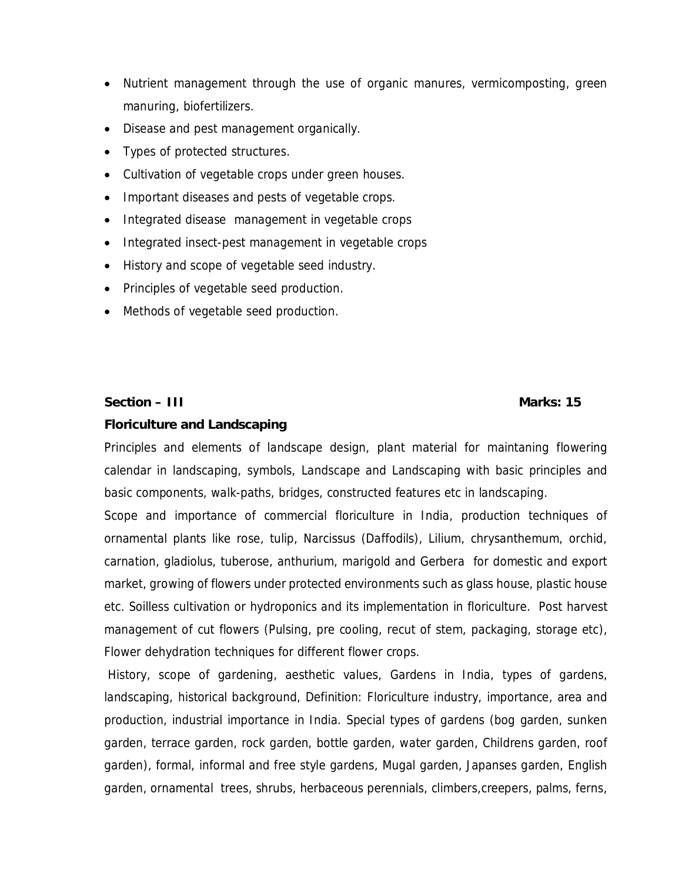- Nutrient management through the use of organic manures, vermicomposting, green manuring, biofertilizers.
- Disease and pest management organically.
- Types of protected structures.
- Cultivation of vegetable crops under green houses.
- Important diseases and pests of vegetable crops.
- Integrated disease management in vegetable crops
- Integrated insect-pest management in vegetable crops
- History and scope of vegetable seed industry.
- Principles of vegetable seed production.
- Methods of vegetable seed production.

**Section – III** Marks: 15

#### **Floriculture and Landscaping**

Principles and elements of landscape design, plant material for maintaning flowering calendar in landscaping, symbols, Landscape and Landscaping with basic principles and basic components, walk-paths, bridges, constructed features etc in landscaping.

Scope and importance of commercial floriculture in India, production techniques of ornamental plants like rose, tulip, Narcissus (Daffodils), Lilium, chrysanthemum, orchid, carnation, gladiolus, tuberose, anthurium, marigold and Gerbera for domestic and export market, growing of flowers under protected environments such as glass house, plastic house etc. Soilless cultivation or hydroponics and its implementation in floriculture.Post harvest management of cut flowers (Pulsing, pre cooling, recut of stem, packaging, storage etc), Flower dehydration techniques for different flower crops.

History, scope of gardening, aesthetic values, Gardens in India, types of gardens, landscaping, historical background, Definition: Floriculture industry, importance, area and production, industrial importance in India. Special types of gardens (bog garden, sunken garden, terrace garden, rock garden, bottle garden, water garden, Childrens garden, roof garden), formal, informal and free style gardens, Mugal garden, Japanses garden, English garden, ornamental trees, shrubs, herbaceous perennials, climbers,creepers, palms, ferns,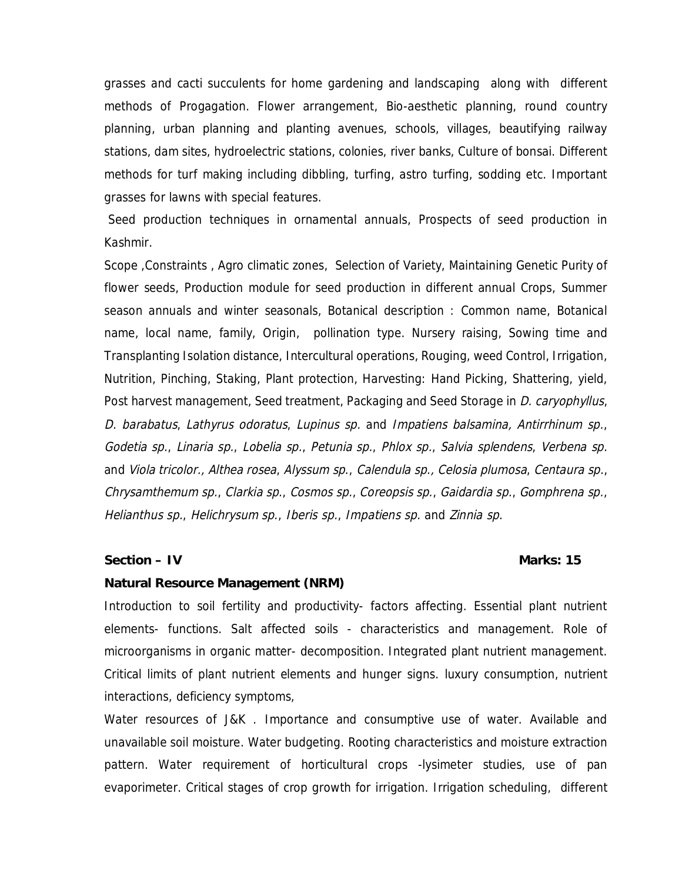grasses and cacti succulents for home gardening and landscaping along with different methods of Progagation. Flower arrangement, Bio-aesthetic planning, round country planning, urban planning and planting avenues, schools, villages, beautifying railway stations, dam sites, hydroelectric stations, colonies, river banks, Culture of bonsai. Different methods for turf making including dibbling, turfing, astro turfing, sodding etc. Important grasses for lawns with special features.

 Seed production techniques in ornamental annuals, Prospects of seed production in Kashmir.

Scope ,Constraints , Agro climatic zones, Selection of Variety, Maintaining Genetic Purity of flower seeds, Production module for seed production in different annual Crops, Summer season annuals and winter seasonals, Botanical description : Common name, Botanical name, local name, family, Origin, pollination type. Nursery raising, Sowing time and Transplanting Isolation distance, Intercultural operations, Rouging, weed Control, Irrigation, Nutrition, Pinching, Staking, Plant protection, Harvesting: Hand Picking, Shattering, yield, Post harvest management, Seed treatment, Packaging and Seed Storage in *D. caryophyllus*, D. barabatus, Lathyrus odoratus, Lupinus sp. and Impatiens balsamina, Antirrhinum sp., Godetia sp., Linaria sp., Lobelia sp., Petunia sp., Phlox sp., Salvia splendens, Verbena sp. and Viola tricolor., Althea rosea, Alyssum sp., Calendula sp., Celosia plumosa, Centaura sp., Chrysamthemum sp., Clarkia sp., Cosmos sp., Coreopsis sp., Gaidardia sp., Gomphrena sp., Helianthus sp., Helichrysum sp., Iberis sp., Impatiens sp. and Zinnia sp.

#### **Section – IV** Marks: 15

#### **Natural Resource Management (NRM)**

Introduction to soil fertility and productivity- factors affecting. Essential plant nutrient elements- functions. Salt affected soils - characteristics and management. Role of microorganisms in organic matter- decomposition. Integrated plant nutrient management. Critical limits of plant nutrient elements and hunger signs. luxury consumption, nutrient interactions, deficiency symptoms,

Water resources of J&K . Importance and consumptive use of water. Available and unavailable soil moisture. Water budgeting. Rooting characteristics and moisture extraction pattern. Water requirement of horticultural crops -lysimeter studies, use of pan evaporimeter. Critical stages of crop growth for irrigation. Irrigation scheduling, different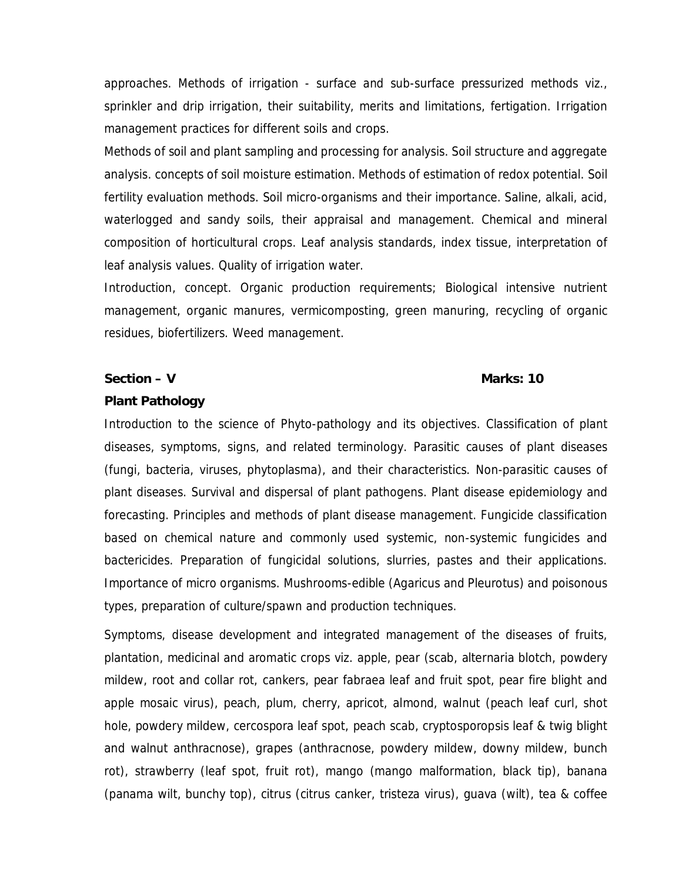approaches. Methods of irrigation - surface and sub-surface pressurized methods viz., sprinkler and drip irrigation, their suitability, merits and limitations, fertigation. Irrigation management practices for different soils and crops.

Methods of soil and plant sampling and processing for analysis. Soil structure and aggregate analysis. concepts of soil moisture estimation. Methods of estimation of redox potential. Soil fertility evaluation methods. Soil micro-organisms and their importance. Saline, alkali, acid, waterlogged and sandy soils, their appraisal and management. Chemical and mineral composition of horticultural crops. Leaf analysis standards, index tissue, interpretation of leaf analysis values. Quality of irrigation water.

Introduction, concept. Organic production requirements; Biological intensive nutrient management, organic manures, vermicomposting, green manuring, recycling of organic residues, biofertilizers. Weed management.

**Section – V** Marks: 10

#### **Plant Pathology**

Introduction to the science of Phyto-pathology and its objectives. Classification of plant diseases, symptoms, signs, and related terminology. Parasitic causes of plant diseases (fungi, bacteria, viruses, phytoplasma), and their characteristics. Non-parasitic causes of plant diseases. Survival and dispersal of plant pathogens. Plant disease epidemiology and forecasting. Principles and methods of plant disease management. Fungicide classification based on chemical nature and commonly used systemic, non-systemic fungicides and bactericides. Preparation of fungicidal solutions, slurries, pastes and their applications. Importance of micro organisms. Mushrooms-edible (Agaricus and Pleurotus) and poisonous types, preparation of culture/spawn and production techniques.

Symptoms, disease development and integrated management of the diseases of fruits, plantation, medicinal and aromatic crops viz. apple, pear (scab, alternaria blotch, powdery mildew, root and collar rot, cankers, pear fabraea leaf and fruit spot, pear fire blight and apple mosaic virus), peach, plum, cherry, apricot, almond, walnut (peach leaf curl, shot hole, powdery mildew, cercospora leaf spot, peach scab, cryptosporopsis leaf & twig blight and walnut anthracnose), grapes (anthracnose, powdery mildew, downy mildew, bunch rot), strawberry (leaf spot, fruit rot), mango (mango malformation, black tip), banana (panama wilt, bunchy top), citrus (citrus canker, tristeza virus), guava (wilt), tea & coffee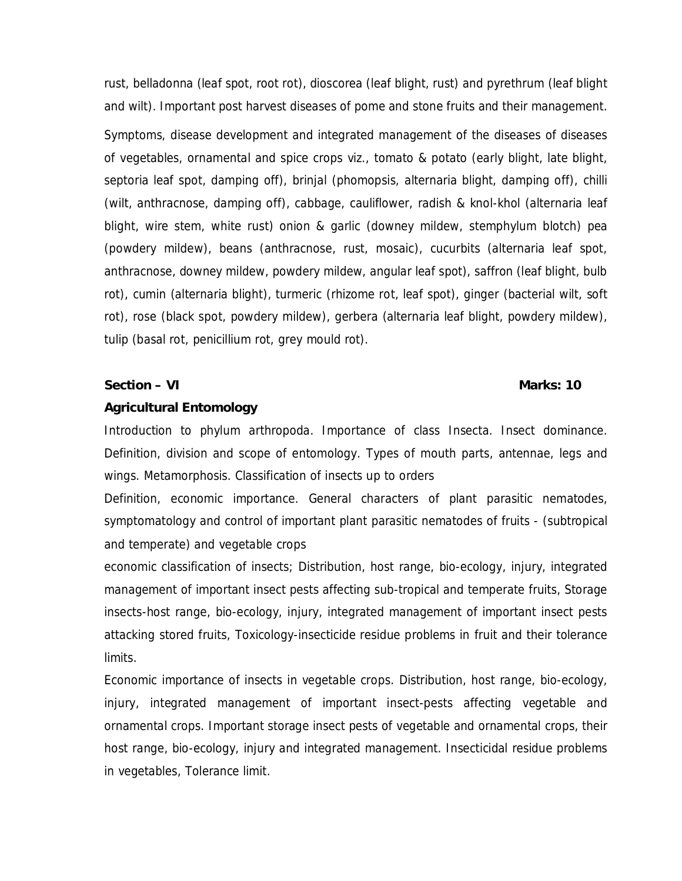rust, belladonna (leaf spot, root rot), dioscorea (leaf blight, rust) and pyrethrum (leaf blight and wilt). Important post harvest diseases of pome and stone fruits and their management. Symptoms, disease development and integrated management of the diseases of diseases of vegetables, ornamental and spice crops viz., tomato & potato (early blight, late blight, septoria leaf spot, damping off), brinjal (phomopsis, alternaria blight, damping off), chilli (wilt, anthracnose, damping off), cabbage, cauliflower, radish & knol-khol (alternaria leaf blight, wire stem, white rust) onion & garlic (downey mildew, stemphylum blotch) pea (powdery mildew), beans (anthracnose, rust, mosaic), cucurbits (alternaria leaf spot, anthracnose, downey mildew, powdery mildew, angular leaf spot), saffron (leaf blight, bulb rot), cumin (alternaria blight), turmeric (rhizome rot, leaf spot), ginger (bacterial wilt, soft rot), rose (black spot, powdery mildew), gerbera (alternaria leaf blight, powdery mildew), tulip (basal rot, penicillium rot, grey mould rot).

**Section – VI** Marks: 10

#### **Agricultural Entomology**

Introduction to phylum arthropoda. Importance of class Insecta. Insect dominance. Definition, division and scope of entomology. Types of mouth parts, antennae, legs and wings. Metamorphosis. Classification of insects up to orders

Definition, economic importance. General characters of plant parasitic nematodes, symptomatology and control of important plant parasitic nematodes of fruits - (subtropical and temperate) and vegetable crops

economic classification of insects; Distribution, host range, bio-ecology, injury, integrated management of important insect pests affecting sub-tropical and temperate fruits, Storage insects-host range, bio-ecology, injury, integrated management of important insect pests attacking stored fruits, Toxicology-insecticide residue problems in fruit and their tolerance limits.

Economic importance of insects in vegetable crops. Distribution, host range, bio-ecology, injury, integrated management of important insect-pests affecting vegetable and ornamental crops. Important storage insect pests of vegetable and ornamental crops, their host range, bio-ecology, injury and integrated management. Insecticidal residue problems in vegetables, Tolerance limit.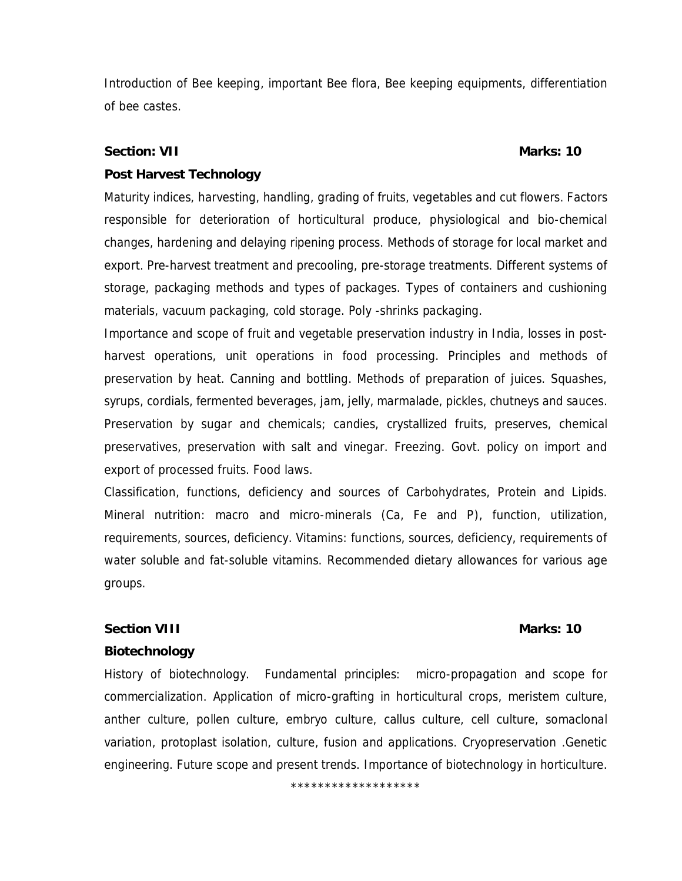Introduction of Bee keeping, important Bee flora, Bee keeping equipments, differentiation of bee castes.

**Section: VII Marks: 10 Marks: 10** 

#### **Post Harvest Technology**

Maturity indices, harvesting, handling, grading of fruits, vegetables and cut flowers. Factors responsible for deterioration of horticultural produce, physiological and bio-chemical changes, hardening and delaying ripening process. Methods of storage for local market and export. Pre-harvest treatment and precooling, pre-storage treatments. Different systems of storage, packaging methods and types of packages. Types of containers and cushioning materials, vacuum packaging, cold storage. Poly -shrinks packaging.

Importance and scope of fruit and vegetable preservation industry in India, losses in postharvest operations, unit operations in food processing. Principles and methods of preservation by heat. Canning and bottling. Methods of preparation of juices. Squashes, syrups, cordials, fermented beverages, jam, jelly, marmalade, pickles, chutneys and sauces. Preservation by sugar and chemicals; candies, crystallized fruits, preserves, chemical preservatives, preservation with salt and vinegar. Freezing. Govt. policy on import and export of processed fruits. Food laws.

Classification, functions, deficiency and sources of Carbohydrates, Protein and Lipids. Mineral nutrition: macro and micro-minerals (Ca, Fe and P), function, utilization, requirements, sources, deficiency. Vitamins: functions, sources, deficiency, requirements of water soluble and fat-soluble vitamins. Recommended dietary allowances for various age groups.

#### **Section VIII** Marks: 10

#### **Biotechnology**

History of biotechnology. Fundamental principles: micro-propagation and scope for commercialization. Application of micro-grafting in horticultural crops, meristem culture, anther culture, pollen culture, embryo culture, callus culture, cell culture, somaclonal variation, protoplast isolation, culture, fusion and applications. Cryopreservation .Genetic engineering. Future scope and present trends. Importance of biotechnology in horticulture.

\*\*\*\*\*\*\*\*\*\*\*\*\*\*\*\*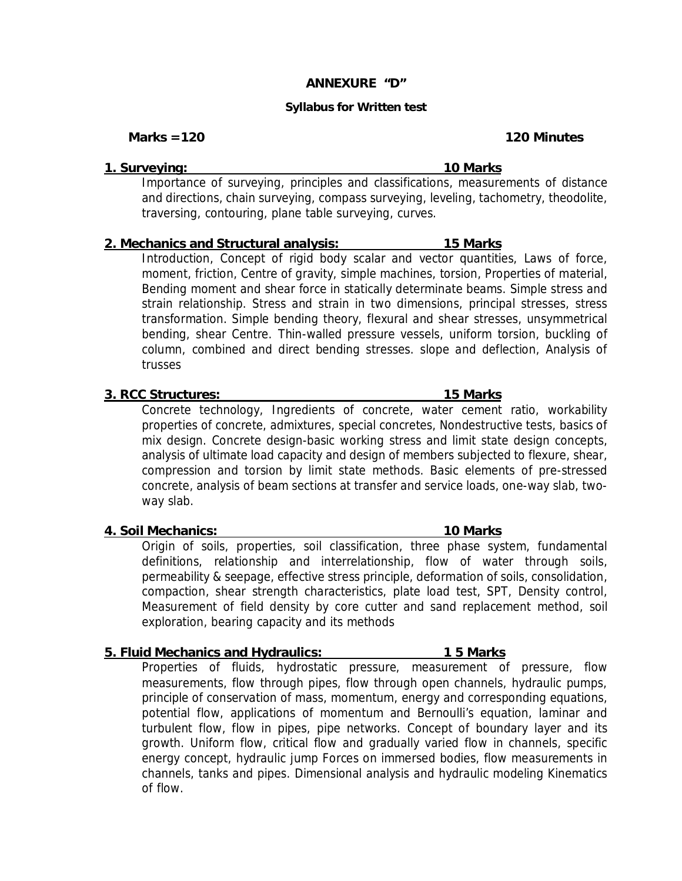#### **ANNEXURE "D"**

#### **Syllabus for Written test**

Marks = 120 **Minutes 120** Minutes **120** Minutes

**1. Surveying: 10 Marks** 

Importance of surveying, principles and classifications, measurements of distance and directions, chain surveying, compass surveying, leveling, tachometry, theodolite, traversing, contouring, plane table surveying, curves.

#### **2. Mechanics and Structural analysis: 15 Marks**

Introduction, Concept of rigid body scalar and vector quantities, Laws of force, moment, friction, Centre of gravity, simple machines, torsion, Properties of material, Bending moment and shear force in statically determinate beams. Simple stress and strain relationship. Stress and strain in two dimensions, principal stresses, stress transformation. Simple bending theory, flexural and shear stresses, unsymmetrical bending, shear Centre. Thin-walled pressure vessels, uniform torsion, buckling of column, combined and direct bending stresses. slope and deflection, Analysis of trusses

#### **3. RCC Structures: 15 Marks**

Concrete technology, Ingredients of concrete, water cement ratio, workability properties of concrete, admixtures, special concretes, Nondestructive tests, basics of mix design. Concrete design-basic working stress and limit state design concepts, analysis of ultimate load capacity and design of members subjected to flexure, shear, compression and torsion by limit state methods. Basic elements of pre-stressed concrete, analysis of beam sections at transfer and service loads, one-way slab, twoway slab.

#### **4. Soil Mechanics: 10 Marks**

Origin of soils, properties, soil classification, three phase system, fundamental definitions, relationship and interrelationship, flow of water through soils, permeability & seepage, effective stress principle, deformation of soils, consolidation, compaction, shear strength characteristics, plate load test, SPT, Density control, Measurement of field density by core cutter and sand replacement method, soil exploration, bearing capacity and its methods

#### **5. Fluid Mechanics and Hydraulics: 1 5 Marks**

Properties of fluids, hydrostatic pressure, measurement of pressure, flow measurements, flow through pipes, flow through open channels, hydraulic pumps, principle of conservation of mass, momentum, energy and corresponding equations, potential flow, applications of momentum and Bernoulli's equation, laminar and turbulent flow, flow in pipes, pipe networks. Concept of boundary layer and its growth. Uniform flow, critical flow and gradually varied flow in channels, specific energy concept, hydraulic jump Forces on immersed bodies, flow measurements in channels, tanks and pipes. Dimensional analysis and hydraulic modeling Kinematics of flow.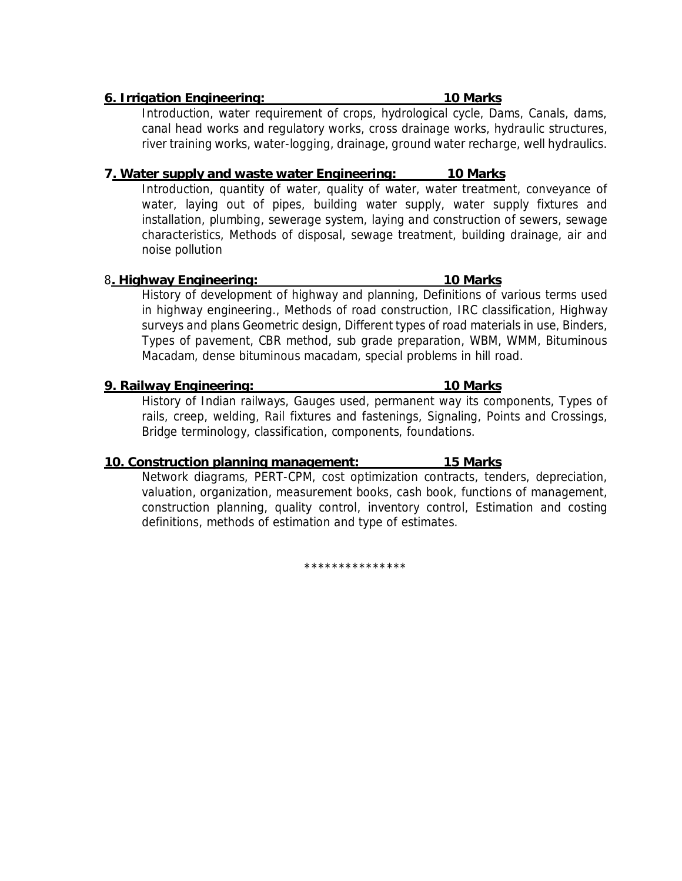#### **6. Irrigation Engineering: 10 Marks**

Introduction, water requirement of crops, hydrological cycle, Dams, Canals, dams, canal head works and regulatory works, cross drainage works, hydraulic structures, river training works, water-logging, drainage, ground water recharge, well hydraulics.

### **7. Water supply and waste water Engineering: 10 Marks**

Introduction, quantity of water, quality of water, water treatment, conveyance of water, laying out of pipes, building water supply, water supply fixtures and installation, plumbing, sewerage system, laying and construction of sewers, sewage characteristics, Methods of disposal, sewage treatment, building drainage, air and noise pollution

#### 8**. Highway Engineering: 10 Marks**

History of development of highway and planning, Definitions of various terms used in highway engineering., Methods of road construction, IRC classification, Highway surveys and plans Geometric design, Different types of road materials in use, Binders, Types of pavement, CBR method, sub grade preparation, WBM, WMM, Bituminous Macadam, dense bituminous macadam, special problems in hill road.

**9. Railway Engineering: 10 Marks** 

History of Indian railways, Gauges used, permanent way its components, Types of rails, creep, welding, Rail fixtures and fastenings, Signaling, Points and Crossings, Bridge terminology, classification, components, foundations.

### **10. Construction planning management: 15 Marks**

Network diagrams, PERT-CPM, cost optimization contracts, tenders, depreciation, valuation, organization, measurement books, cash book, functions of management, construction planning, quality control, inventory control, Estimation and costing definitions, methods of estimation and type of estimates.

\*\*\*\*\*\*\*\*\*\*\*\*\*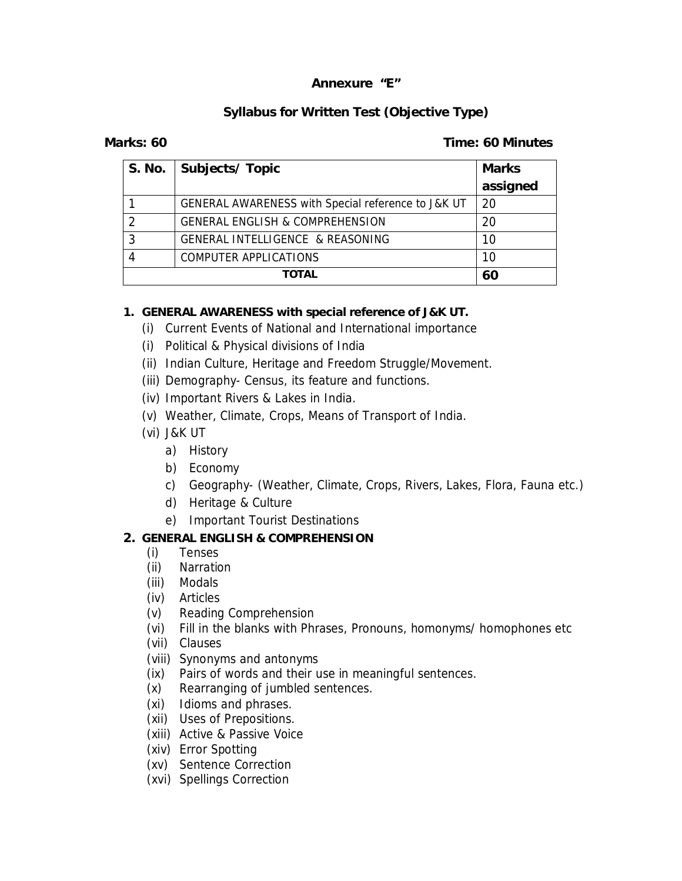### **Annexure "E"**

### **Syllabus for Written Test (Objective Type)**

**Marks: 60 Time: 60 Minutes** 

| S. No. | Subjects/Topic                                     | Marks    |
|--------|----------------------------------------------------|----------|
|        |                                                    | assigned |
|        | GENERAL AWARENESS with Special reference to J&K UT | -20      |
|        | <b>GENERAL ENGLISH &amp; COMPREHENSION</b>         | 20       |
|        | <b>GENERAL INTELLIGENCE &amp; REASONING</b>        | 10       |
|        | COMPUTER APPLICATIONS                              | 10       |
|        | <b>TOTAL</b>                                       | 60       |

**1. GENERAL AWARENESS with special reference of J&K UT.** 

(i) Current Events of National and International importance

- (i) Political & Physical divisions of India
- (ii) Indian Culture, Heritage and Freedom Struggle/Movement.
- (iii) Demography- Census, its feature and functions.
- (iv) Important Rivers & Lakes in India.
- (v) Weather, Climate, Crops, Means of Transport of India.
- (vi) J&K UT
	- a) History
	- b) Economy
	- c) Geography- (Weather, Climate, Crops, Rivers, Lakes, Flora, Fauna etc.)
	- d) Heritage & Culture
	- e) Important Tourist Destinations
- **2. GENERAL ENGLISH & COMPREHENSION**
	- (i) Tenses
	- (ii) Narration
	- (iii) Modals
	- (iv) Articles
	- (v) Reading Comprehension
	- (vi) Fill in the blanks with Phrases, Pronouns, homonyms/ homophones etc
	- (vii) Clauses
	- (viii) Synonyms and antonyms
	- (ix) Pairs of words and their use in meaningful sentences.
	- (x) Rearranging of jumbled sentences.
	- (xi) Idioms and phrases.
	- (xii) Uses of Prepositions.
	- (xiii) Active & Passive Voice
	- (xiv) Error Spotting
	- (xv) Sentence Correction
	- (xvi) Spellings Correction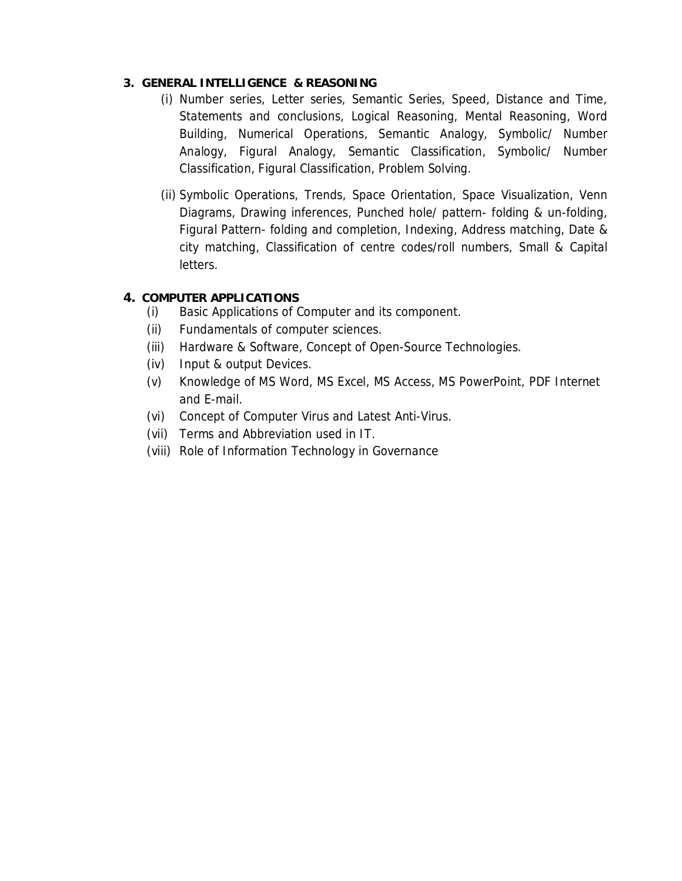#### **3. GENERAL INTELLIGENCE & REASONING**

- (i) Number series, Letter series, Semantic Series, Speed, Distance and Time, Statements and conclusions, Logical Reasoning, Mental Reasoning, Word Building, Numerical Operations, Semantic Analogy, Symbolic/ Number Analogy, Figural Analogy, Semantic Classification, Symbolic/ Number Classification, Figural Classification, Problem Solving.
- (ii) Symbolic Operations, Trends, Space Orientation, Space Visualization, Venn Diagrams, Drawing inferences, Punched hole/ pattern- folding & un-folding, Figural Pattern- folding and completion, Indexing, Address matching, Date & city matching, Classification of centre codes/roll numbers, Small & Capital letters.
- **4. COMPUTER APPLICATIONS**
	- (i) Basic Applications of Computer and its component.
	- (ii) Fundamentals of computer sciences.
	- (iii) Hardware & Software, Concept of Open-Source Technologies.
	- (iv) Input & output Devices.
	- (v) Knowledge of MS Word, MS Excel, MS Access, MS PowerPoint, PDF Internet and E-mail.
	- (vi) Concept of Computer Virus and Latest Anti-Virus.
	- (vii) Terms and Abbreviation used in IT.
	- (viii) Role of Information Technology in Governance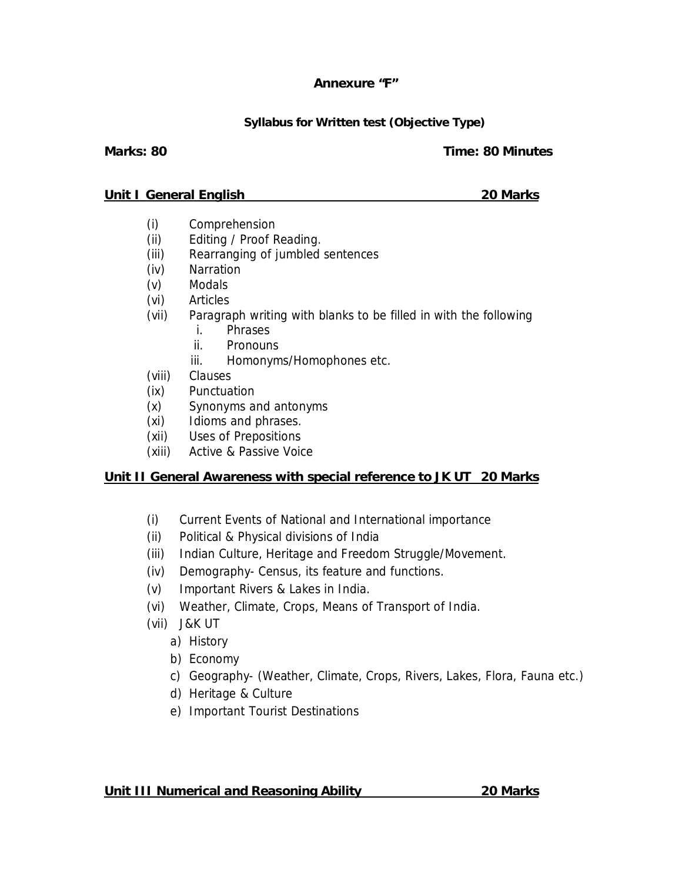### **Annexure "F"**

### **Syllabus for Written test (Objective Type)**

### **Marks: 80 Time: 80 Minutes**

#### **Unit I General English 20 Marks**

- (i) Comprehension
- (ii) Editing / Proof Reading.
- (iii) Rearranging of jumbled sentences
- (iv) Narration
- (v) Modals
- (vi) Articles
- (vii) Paragraph writing with blanks to be filled in with the following
	- i. Phrases
	- ii. Pronouns
	- iii. Homonyms/Homophones etc.
- (viii) Clauses
- (ix) Punctuation
- (x) Synonyms and antonyms
- (xi) Idioms and phrases.
- (xii) Uses of Prepositions
- (xiii) Active & Passive Voice

### **Unit II General Awareness with special reference to JK UT 20 Marks**

- (i) Current Events of National and International importance
- (ii) Political & Physical divisions of India
- (iii) Indian Culture, Heritage and Freedom Struggle/Movement.
- (iv) Demography- Census, its feature and functions.
- (v) Important Rivers & Lakes in India.
- (vi) Weather, Climate, Crops, Means of Transport of India.
- (vii) J&K UT
	- a) History
	- b) Economy
	- c) Geography- (Weather, Climate, Crops, Rivers, Lakes, Flora, Fauna etc.)
	- d) Heritage & Culture
	- e) Important Tourist Destinations

**Unit III Numerical and Reasoning Ability 20 Marks**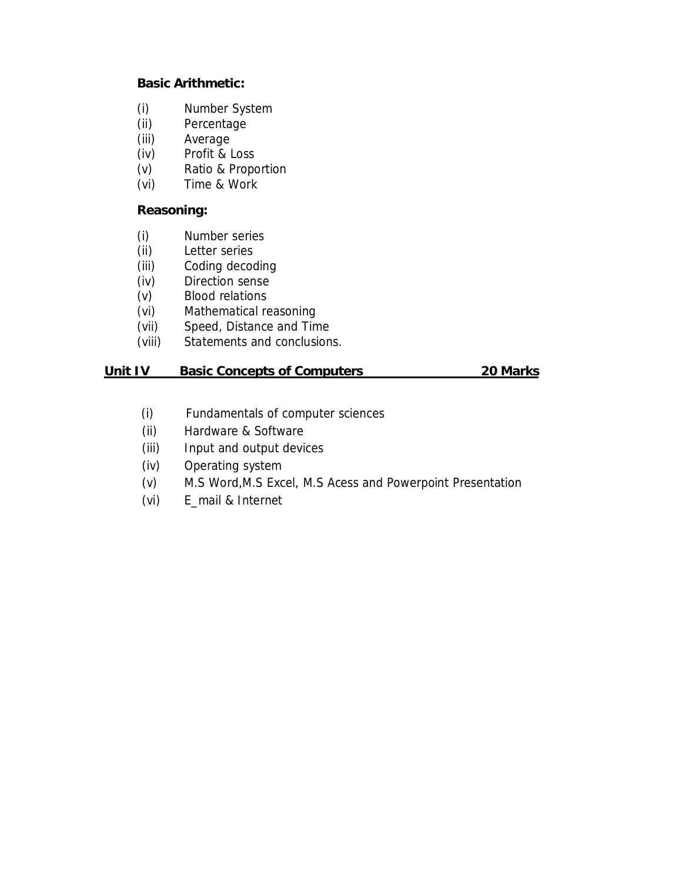**Basic Arithmetic:** 

- (i) Number System
- (ii) Percentage
- (iii) Average
- (iv) Profit & Loss
- (v) Ratio & Proportion
- (vi) Time & Work

### **Reasoning:**

- (i) Number series
- (ii) Letter series
- (iii) Coding decoding
- (iv) Direction sense
- (v) Blood relations
- (vi) Mathematical reasoning
- (vii) Speed, Distance and Time
- (viii) Statements and conclusions.

#### **Unit IV Basic Concepts of Computers 20 Marks**

- (i) Fundamentals of computer sciences
- (ii) Hardware & Software
- (iii) Input and output devices
- (iv) Operating system
- (v) M.S Word,M.S Excel, M.S Acess and Powerpoint Presentation
- (vi) E\_mail & Internet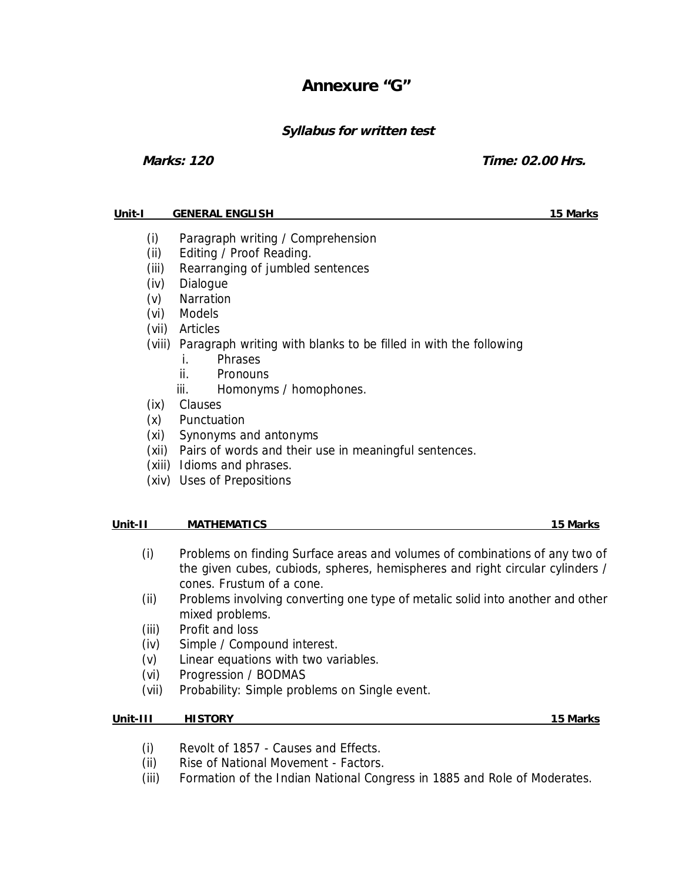## **Annexure "G"**

### **Syllabus for written test**

**Marks: 120 Time: 02.00 Hrs.** 

#### **Unit-I GENERAL ENGLISH 15 Marks**

- (i) Paragraph writing / Comprehension
- (ii) Editing / Proof Reading.
- (iii) Rearranging of jumbled sentences
- (iv) Dialogue
- (v) Narration
- (vi) Models
- (vii) Articles
- (viii) Paragraph writing with blanks to be filled in with the following
	- i. Phrases
	- ii. Pronouns
	- iii. Homonyms / homophones.
- (ix) Clauses
- (x) Punctuation
- (xi) Synonyms and antonyms
- (xii) Pairs of words and their use in meaningful sentences.
- (xiii) Idioms and phrases.
- (xiv) Uses of Prepositions

#### **Unit-II MATHEMATICS 15 Marks**

- (i) Problems on finding Surface areas and volumes of combinations of any two of the given cubes, cubiods, spheres, hemispheres and right circular cylinders / cones. Frustum of a cone.
- (ii) Problems involving converting one type of metalic solid into another and other mixed problems.
- (iii) Profit and loss
- (iv) Simple / Compound interest.
- (v) Linear equations with two variables.
- (vi) Progression / BODMAS
- (vii) Probability: Simple problems on Single event.

**Unit-III HISTORY 15 Marks**

- (i) Revolt of 1857 Causes and Effects.
- (ii) Rise of National Movement Factors.
- (iii) Formation of the Indian National Congress in 1885 and Role of Moderates.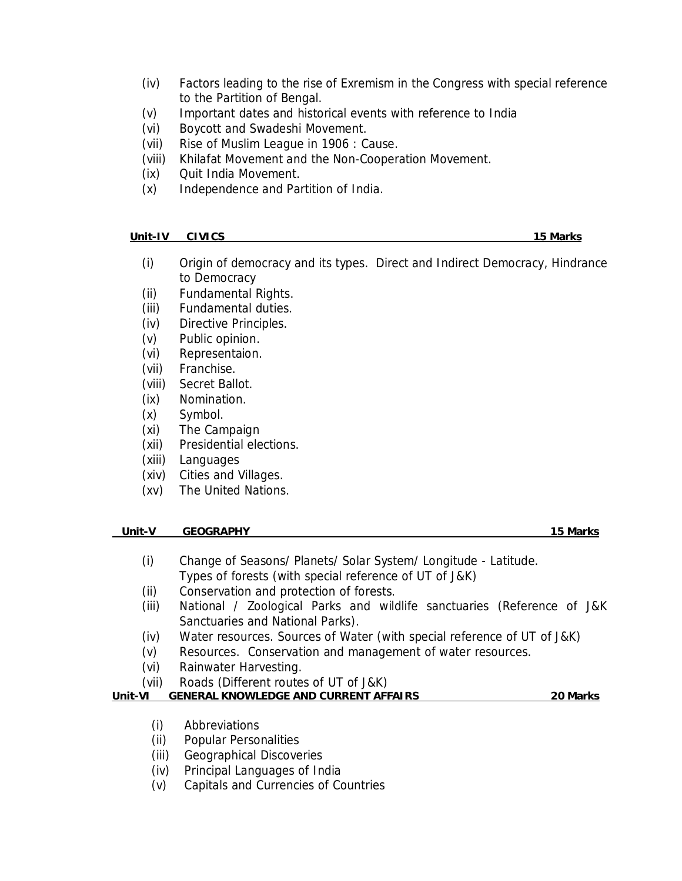- (iv) Factors leading to the rise of Exremism in the Congress with special reference to the Partition of Bengal.
- (v) Important dates and historical events with reference to India
- (vi) Boycott and Swadeshi Movement.
- (vii) Rise of Muslim League in 1906 : Cause.
- (viii) Khilafat Movement and the Non-Cooperation Movement.
- (ix) Quit India Movement.
- (x) Independence and Partition of India.

**Unit-IV CIVICS 15 Marks** 

- (i) Origin of democracy and its types. Direct and Indirect Democracy, Hindrance to Democracy
- (ii) Fundamental Rights.
- (iii) Fundamental duties.
- (iv) Directive Principles.
- (v) Public opinion.
- (vi) Representaion.
- (vii) Franchise.
- (viii) Secret Ballot.
- (ix) Nomination.
- (x) Symbol.
- (xi) The Campaign
- (xii) Presidential elections.
- (xiii) Languages
- (xiv) Cities and Villages.
- (xv) The United Nations.

#### **Unit-V GEOGRAPHY** 15 Marks

- (i) Change of Seasons/ Planets/ Solar System/ Longitude Latitude. Types of forests (with special reference of UT of J&K)
- (ii) Conservation and protection of forests.
- (iii) National / Zoological Parks and wildlife sanctuaries (Reference of J&K Sanctuaries and National Parks).
- (iv) Water resources. Sources of Water (with special reference of UT of J&K)
- (v) Resources. Conservation and management of water resources.
- (vi) Rainwater Harvesting.
- (vii) Roads (Different routes of UT of J&K)

**Unit-VI GENERAL KNOWLEDGE AND CURRENT AFFAIRS 20 Marks** 

- (i) Abbreviations
- (ii) Popular Personalities
- (iii) Geographical Discoveries
- (iv) Principal Languages of India
- (v) Capitals and Currencies of Countries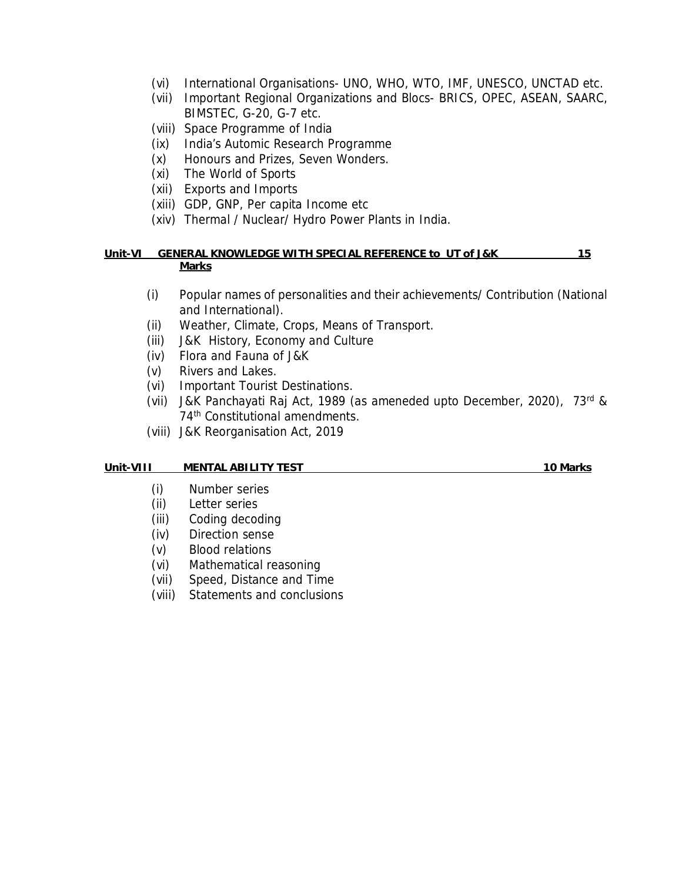- (vi) International Organisations- UNO, WHO, WTO, IMF, UNESCO, UNCTAD etc.
- (vii) Important Regional Organizations and Blocs- BRICS, OPEC, ASEAN, SAARC, BIMSTEC, G-20, G-7 etc.
- (viii) Space Programme of India
- (ix) India's Automic Research Programme
- (x) Honours and Prizes, Seven Wonders.
- (xi) The World of Sports
- (xii) Exports and Imports
- (xiii) GDP, GNP, Per capita Income etc
- (xiv) Thermal / Nuclear/ Hydro Power Plants in India.

#### **Unit-VI GENERAL KNOWLEDGE WITH SPECIAL REFERENCE to UT of J&K 15 Marks**

- (i) Popular names of personalities and their achievements/ Contribution (National and International).
- (ii) Weather, Climate, Crops, Means of Transport.
- (iii) J&K History, Economy and Culture
- (iv) Flora and Fauna of J&K
- (v) Rivers and Lakes.
- (vi) Important Tourist Destinations.
- (vii) J&K Panchayati Raj Act, 1989 (as ameneded upto December, 2020), 73rd & 74<sup>th</sup> Constitutional amendments.
- (viii) J&K Reorganisation Act, 2019

#### **Unit-VIII MENTAL ABILITY TEST 10 Marks**

- (i) Number series
- (ii) Letter series
- (iii) Coding decoding
- (iv) Direction sense
- (v) Blood relations
- (vi) Mathematical reasoning
- (vii) Speed, Distance and Time
- (viii) Statements and conclusions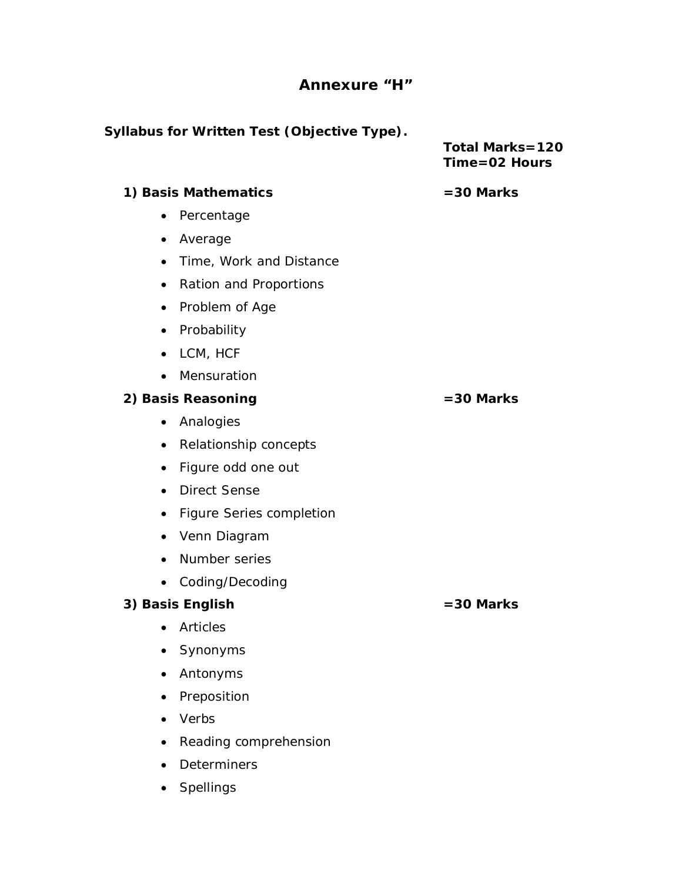### **Annexure "H"**

**Syllabus for Written Test (Objective Type). Total Marks=120 Time=02 Hours 1) Basis Mathematics =30 Marks**  • Percentage • Average • Time, Work and Distance • Ration and Proportions • Problem of Age • Probability • LCM, HCF • Mensuration **2) Basis Reasoning =30 Marks**  • Analogies • Relationship concepts • Figure odd one out • Direct Sense • Figure Series completion • Venn Diagram • Number series • Coding/Decoding **3) Basis English =30 Marks**  • Articles • Synonyms • Antonyms

- Preposition
- Verbs
- Reading comprehension
- Determiners
- Spellings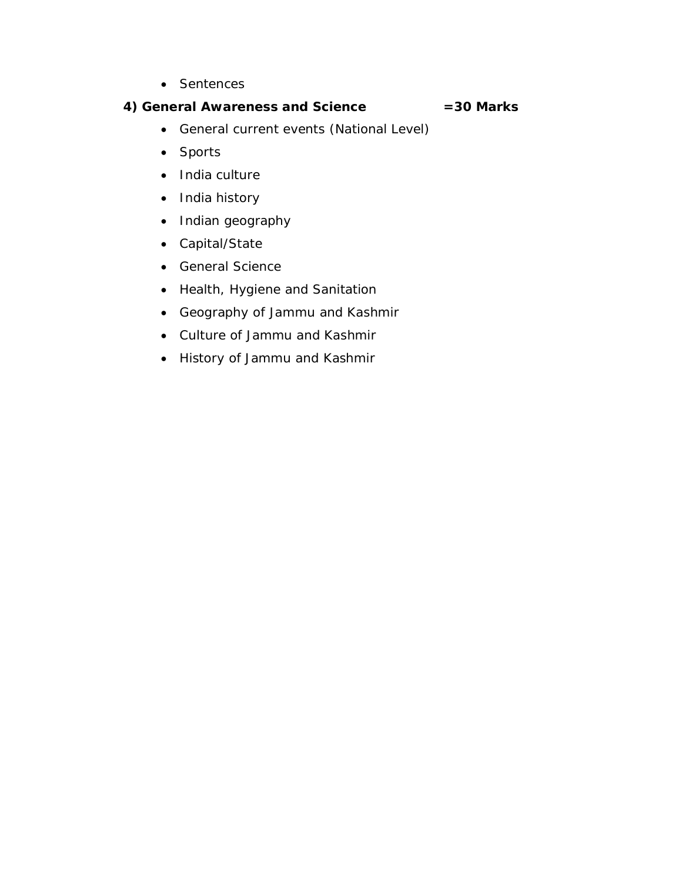• Sentences

**4) General Awareness and Science =30 Marks** 

- General current events (National Level)
- $\bullet$  Sports
- India culture
- India history
- Indian geography
- Capital/State
- General Science
- Health, Hygiene and Sanitation
- Geography of Jammu and Kashmir
- Culture of Jammu and Kashmir
- History of Jammu and Kashmir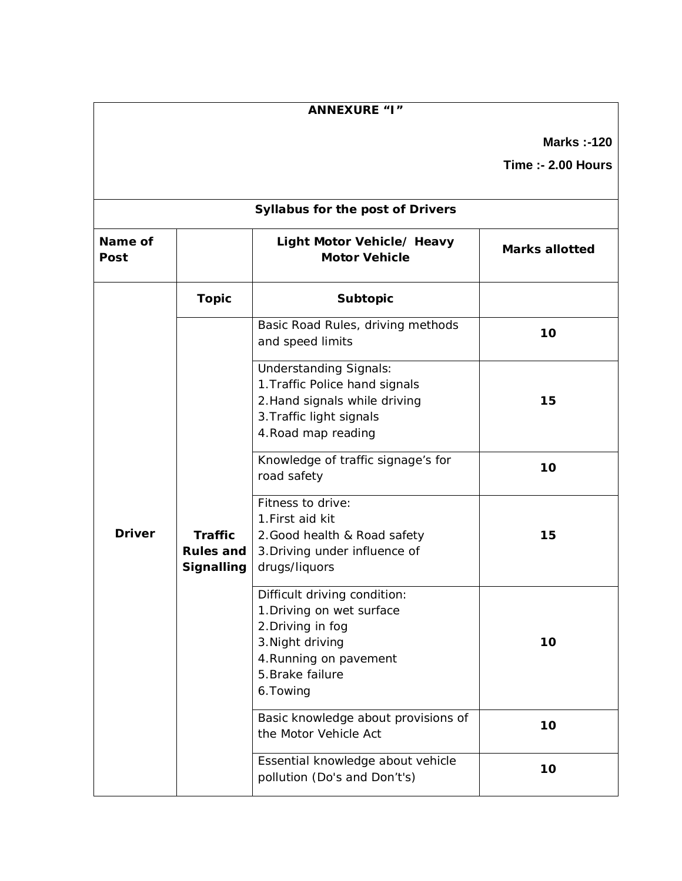| ANNEXURE "I"    |                                    |                                                                                                                                                               |                                                 |  |  |
|-----------------|------------------------------------|---------------------------------------------------------------------------------------------------------------------------------------------------------------|-------------------------------------------------|--|--|
|                 |                                    |                                                                                                                                                               | <b>Marks: -120</b><br><b>Time :- 2.00 Hours</b> |  |  |
|                 | Syllabus for the post of Drivers   |                                                                                                                                                               |                                                 |  |  |
| Name of<br>Post |                                    | Light Motor Vehicle/ Heavy<br>Motor Vehicle                                                                                                                   | Marks allotted                                  |  |  |
|                 | Topic                              | Subtopic                                                                                                                                                      |                                                 |  |  |
|                 | Traffic<br>Rules and<br>Signalling | Basic Road Rules, driving methods<br>and speed limits                                                                                                         | 10                                              |  |  |
|                 |                                    | <b>Understanding Signals:</b><br>1. Traffic Police hand signals<br>2. Hand signals while driving<br>3. Traffic light signals<br>4. Road map reading           | 15                                              |  |  |
|                 |                                    | Knowledge of traffic signage's for<br>road safety                                                                                                             | 10                                              |  |  |
| Driver          |                                    | Fitness to drive:<br>1. First aid kit<br>2. Good health & Road safety<br>3. Driving under influence of<br>drugs/liquors                                       | 15                                              |  |  |
|                 |                                    | Difficult driving condition:<br>1. Driving on wet surface<br>2. Driving in fog<br>3. Night driving<br>4. Running on pavement<br>5. Brake failure<br>6. Towing | 10                                              |  |  |
|                 |                                    | Basic knowledge about provisions of<br>the Motor Vehicle Act                                                                                                  | 10                                              |  |  |
|                 |                                    | Essential knowledge about vehicle<br>pollution (Do's and Don't's)                                                                                             | 10                                              |  |  |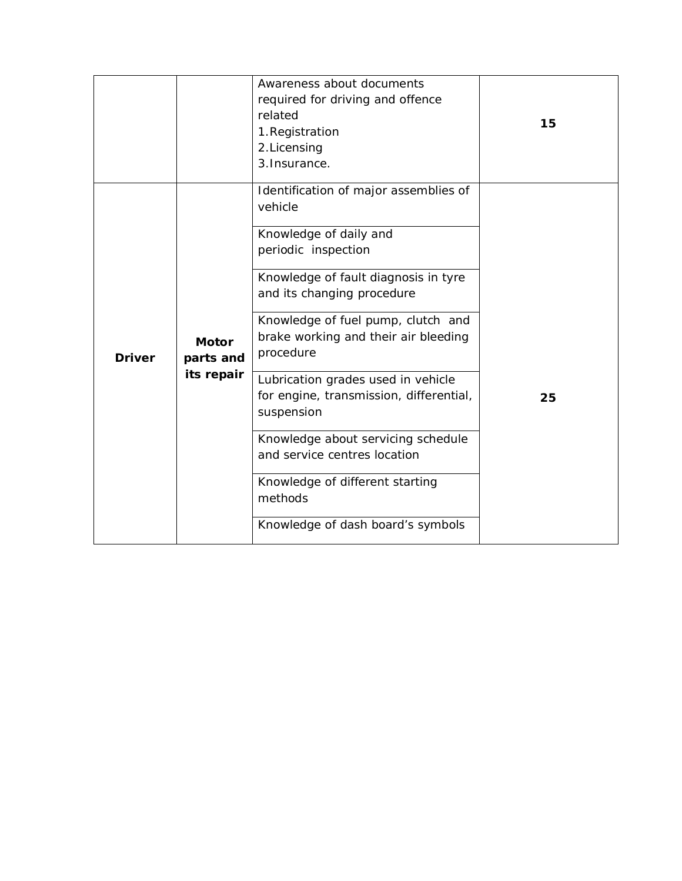| Awareness about documents<br>required for driving and offence<br>related<br>1. Registration<br>2. Licensing<br>3. Insurance.                                                                                                                                                                                                                                                                                                            | 15 |
|-----------------------------------------------------------------------------------------------------------------------------------------------------------------------------------------------------------------------------------------------------------------------------------------------------------------------------------------------------------------------------------------------------------------------------------------|----|
| Identification of major assemblies of<br>vehicle<br>Knowledge of daily and<br>periodic inspection<br>Knowledge of fault diagnosis in tyre<br>and its changing procedure<br>Knowledge of fuel pump, clutch and<br>brake working and their air bleeding<br>procedure<br>Lubrication grades used in vehicle<br>for engine, transmission, differential,<br>suspension<br>Knowledge about servicing schedule<br>and service centres location | 25 |
| Knowledge of different starting<br>methods<br>Knowledge of dash board's symbols                                                                                                                                                                                                                                                                                                                                                         |    |
|                                                                                                                                                                                                                                                                                                                                                                                                                                         |    |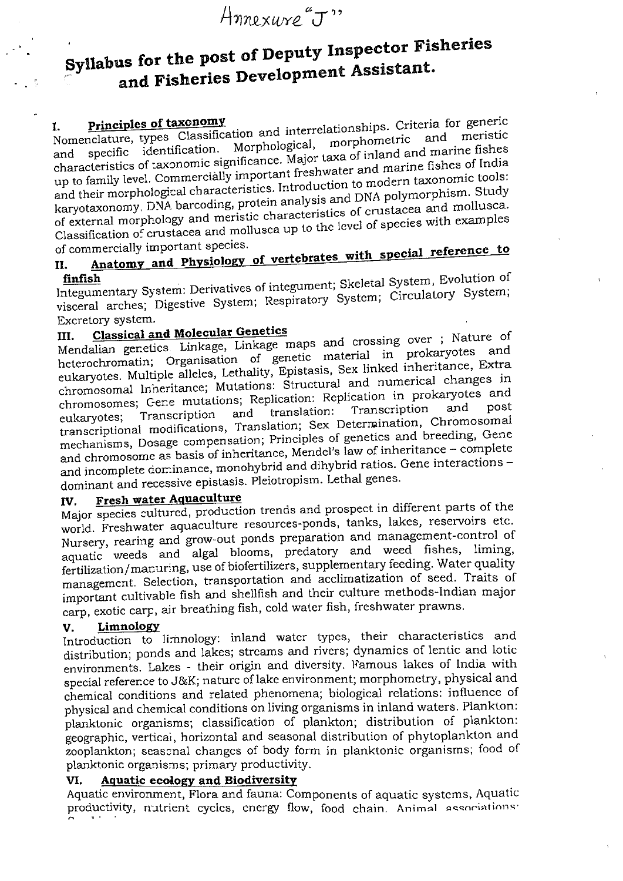# Annexure"J"

# Syllabus for the post of Deputy Inspector Fisheries and Fisheries Development Assistant.

Nomenclature, types Classification and interrelationships. Criteria for generic specific identification. Morphological, characteristics of taxonomic significance. Major taxa of inland and marine fishes up to family level. Commercially important freshwater and marine fishes of India and their morphological characteristics. Introduction to modern taxonomic tools: karyotaxonomy, DNA barcoding, protein analysis and DNA polymorphism. Study of external morphology and meristic characteristics of crustacea and mollusca. Classification of crustacea and mollusca up to the level of species with examples of commercially important species.

## Anatomy and Physiology of vertebrates with special reference to II.

Integumentary System: Derivatives of integument; Skeletal System, Evolution of visceral arches; Digestive System; Respiratory System; Circulatory System; Excretory system.

#### **Classical and Molecular Genetics** TIT.

Mendalian genetics Linkage, Linkage maps and crossing over ; Nature of heterochromatin; Organisation of genetic material in prokaryotes and eukaryotes. Multiple alleles, Lethality, Epistasis, Sex linked inheritance, Extra chromosomal Inneritance; Mutations: Structural and numerical changes in chromosomes; Gene mutations; Replication: Replication in prokaryotes and Transcription translation: and Transcription eukaryotes; transcriptional modifications, Translation; Sex Determination, Chromosomal mechanisms, Dosage compensation; Principles of genetics and breeding, Gene and chromosome as basis of inheritance, Mendel's law of inheritance - complete and incomplete cominance, monohybrid and dihybrid ratios. Gene interactions dominant and recessive epistasis. Pleiotropism. Lethal genes.

#### Fresh water Aquaculture IV.

Major species cultured, production trends and prospect in different parts of the world. Freshwater aquaculture resources-ponds, tanks, lakes, reservoirs etc. Nursery, rearing and grow-out ponds preparation and management-control of aquatic weeds and algal blooms, predatory and weed fishes, liming, fertilization/manuring, use of biofertilizers, supplementary feeding. Water quality management. Selection, transportation and acclimatization of seed. Traits of important cultivable fish and shellfish and their culture methods-Indian major carp, exotic carp, air breathing fish, cold water fish, freshwater prawns.

#### Limnology V.

Introduction to limnology: inland water types, their characteristics and distribution; ponds and lakes; streams and rivers; dynamics of lentic and lotic environments. Lakes - their origin and diversity. Famous lakes of India with special reference to J&K; nature of lake environment; morphometry, physical and chemical conditions and related phenomena; biological relations: influence of physical and chemical conditions on living organisms in inland waters. Plankton: planktonic organisms; classification of plankton; distribution of plankton: geographic, vertical, horizontal and seasonal distribution of phytoplankton and zooplankton; seascnal changes of body form in planktonic organisms; food of planktonic organisms; primary productivity.

#### **Aquatic ecology and Biodiversity** VI.

Aquatic environment, Flora and fauna: Components of aquatic systems, Aquatic productivity, nutrient cycles, energy flow, food chain. Animal associations: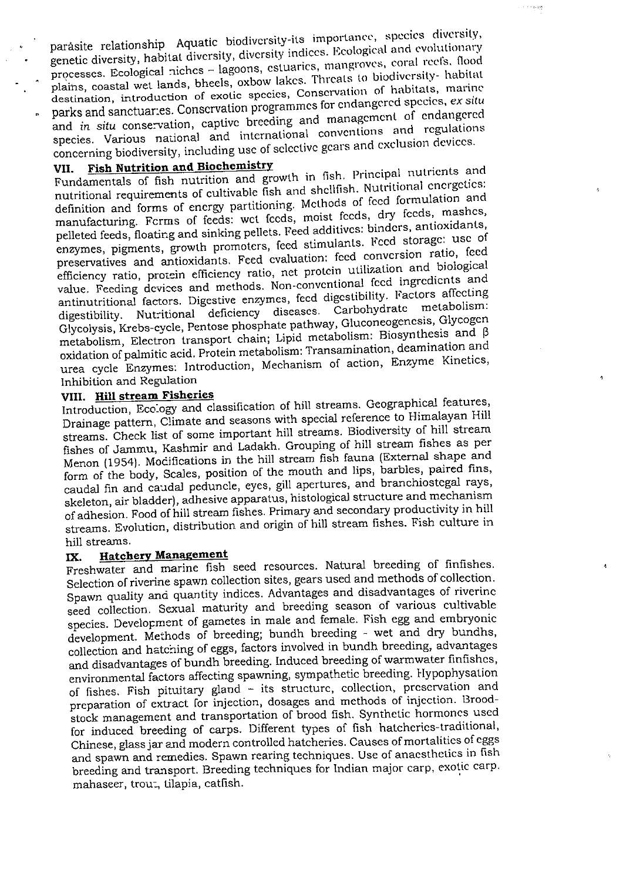parásite relationship. Aquatic biodiversity-its importance, species diversity, genetic diversity, habitat diversity, diversity indices. Ecological and evolutionary processes. Ecological niches - lagoons, estuaries, mangroves, coral reefs. flood plains, coastal wet lands, bheels, oxbow lakes. Threats to biodiversity- habitat destination, introduction of exotic species, Conservation of habitats, marine parks and sanctuaries. Conscrvation programmes for endangered species, ex situ and in situ conservation, captive breeding and management of endangered species. Various national and international conventions and regulations concerning biodiversity, including use of selective gears and exclusion devices.

 $\sim\sim\mu_{\rm P}$ gu

Ą

٨

#### **Fish Nutrition and Biochemistry** VII.

Fundamentals of fish nutrition and growth in fish. Principal nutrients and nutritional requirements of cultivable fish and shellfish. Nutritional energetics: definition and forms of energy partitioning. Methods of feed formulation and manufacturing. Fcrms of feeds: wet feeds, moist feeds, dry feeds, mashes, pelleted feeds, floating and sinking pellets. Feed additives: binders, antioxidants, enzymes, pigments, growth promoters, feed stimulants. Feed storage: use of preservatives and antioxidants. Feed evaluation: feed conversion ratio, feed efficiency ratio, protein efficiency ratio, net protein utilization and biological value. Feeding devices and methods. Non-conventional feed ingredients and antinutritional factors. Digestive enzymes, fecd digestibility. Factors affecting metabolism: digestibility. Nutritional deficiency diseases. Carbohydrate Glycolysis, Krebs-cycle, Pentose phosphate pathway, Gluconeogenesis, Glycogen metabolism, Electron transport chain; Lipid metabolism: Biosynthesis and  $\beta$ oxidation of palmitic acid. Protein metabolism: Transamination, deamination and urea cycle Enzymes: Introduction, Mechanism of action, Enzyme Kinetics, Inhibition and Regulation

#### VIII. Hill stream Fisheries

Introduction, Ecology and classification of hill streams. Geographical features, Drainage pattern, Climate and seasons with special reference to Himalayan Hill streams. Check list of some important hill streams. Biodiversity of hill stream fishes of Jammu, Kashmir and Ladakh. Grouping of hill stream fishes as per Menon (1954). Mocifications in the hill stream fish fauna (External shape and form of the body, Scales, position of the mouth and lips, barbles, paired fins, caudal fin and caudal peduncle, eyes, gill apertures, and branchiostegal rays, skeleton, air bladder), adhesive apparatus, histological structure and mechanism of adhesion. Food of hill stream fishes. Primary and secondary productivity in hill streams. Evolution, distribution and origin of hill stream fishes. Fish culture in hill streams.

#### **Hatchery Management** IX.

Freshwater and marine fish seed resources. Natural breeding of finfishes. Selection of riverine spawn collection sites, gears used and methods of collection. Spawn quality and quantity indices. Advantages and disadvantages of riverine seed collection. Sexual maturity and breeding season of various cultivable species. Development of gametes in male and female. Fish egg and embryonic development. Methods of breeding; bundh breeding - wet and dry bundhs, collection and hatching of eggs, factors involved in bundh breeding, advantages and disadvantages of bundh breeding. Induced breeding of warmwater finfishes, environmental factors affecting spawning, sympathetic breeding. Hypophysation of fishes. Fish pituitary gland - its structure, collection, preservation and preparation of extract for injection, dosages and methods of injection. Broodstock management and transportation of brood fish. Synthetic hormones used for induced breeding of carps. Different types of fish hatcheries-traditional, Chinese, glass jar and modern controlled hatcheries. Causes of mortalities of eggs and spawn and remedies. Spawn rearing techniques. Use of anaesthetics in fish breeding and transport. Breeding techniques for Indian major carp, exotic carp. mahaseer, trout, tilapia, catfish.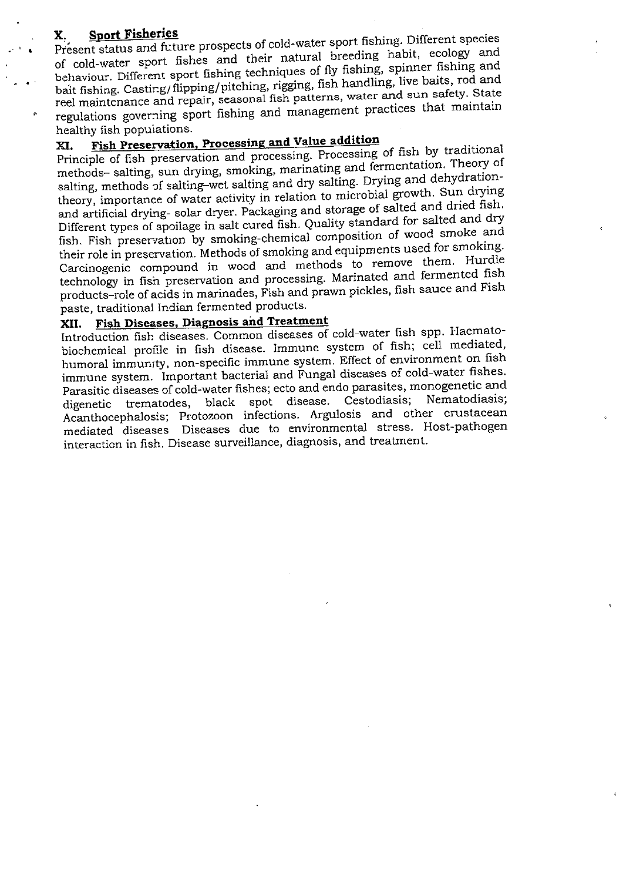### **Sport Fisheries**

Present status and future prospects of cold-water sport fishing. Different species of cold-water sport fishes and their natural breeding habit, ecology and behaviour. Different sport fishing techniques of fly fishing, spinner fishing and bait fishing. Casting/flipping/pitching, rigging, fish handling, live baits, rod and reel maintenance and repair, seasonal fish patterns, water and sun safety. State regulations governing sport fishing and management practices that maintain healthy fish populations.

#### Fish Preservation, Processing and Value addition XI.

Principle of fish preservation and processing. Processing of fish by traditional methods- salting, sun drying, smoking, marinating and fermentation. Theory of salting, methods of salting-wet salting and dry salting. Drying and dehydrationtheory, importance of water activity in relation to microbial growth. Sun drying and artificial drying- solar dryer. Packaging and storage of salted and dried fish. Different types of spoilage in salt cured fish. Quality standard for salted and dry fish. Fish preservation by smoking-chemical composition of wood smoke and their role in preservation. Methods of smoking and equipments used for smoking. Carcinogenic compound in wood and methods to remove them. Hurdle technology in fish preservation and processing. Marinated and fermented fish products-role of acids in marinades, Fish and prawn pickles, fish sauce and Fish paste, traditional Indian fermented products.

#### **Fish Diseases, Diagnosis and Treatment** XII.

Introduction fish diseases. Common diseases of cold-water fish spp. Haematobiochemical profile in fish disease. Immune system of fish; cell mediated, humoral immunity, non-specific immune system. Effect of environment on fish immune system. Important bacterial and Fungal diseases of cold-water fishes. Parasitic diseases of cold-water fishes; ecto and endo parasites, monogenetic and black spot disease. Cestodiasis; Nematodiasis; trematodes. digenetic Acanthocephalosis; Protozoon infections. Argulosis and other crustacean mediated diseases Diseases due to environmental stress. Host-pathogen interaction in fish. Disease surveillance, diagnosis, and treatment.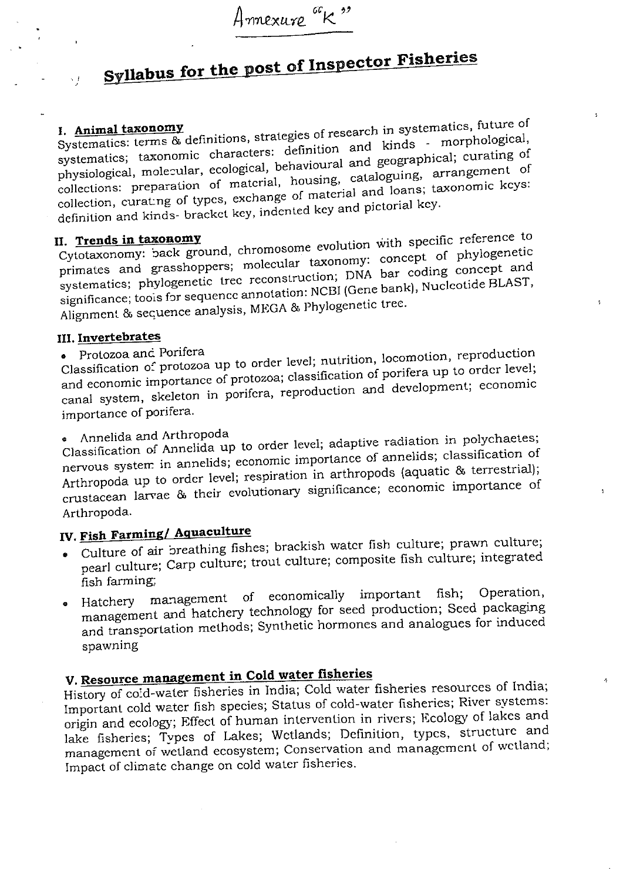# Syllabus for the post of Inspector Fisheries

 $\sqrt{J}$ 

Systematics: terms & definitions, strategies of research in systematics, future of systematics; taxonomic characters: definition and kinds - morphological, physiological, molecular, ecological, behavioural and geographical; curating of collections: preparation of material, housing, cataloguing, arrangement of collection, curating of types, exchange of material and loans; taxonomic keys: definition and kinds- bracket key, indented key and pictorial key.

### II. Trends in taxonomy

Cytotaxonomy: back ground, chromosome evolution with specific reference to primates and grasshoppers; molecular taxonomy: concept of phylogenetic systematics; phylogenetic tree reconstruction; DNA bar coding concept and significance; toois for sequence annotation: NCBI (Gene bank), Nucleotide BLAST, Alignment & secuence analysis, MEGA & Phylogenetic tree.

### III. Invertebrates

### · Protozoa and Porifera

Classification of protozoa up to order level; nutrition, locomotion, reproduction and economic importance of protozoa; classification of porifera up to order level; canal system, skeleton in porifera, reproduction and development; economic importance of porifera.

## • Annelida and Arthropoda

Classification of Annelida up to order level; adaptive radiation in polychaetes; nervous system in annelids; economic importance of annelids; classification of Arthropoda up to order level; respiration in arthropods (aquatic & terrestrial); crustacean larvae & their evolutionary significance; economic importance of Arthropoda.

# IV. Fish Farming/ Aquaculture

- Culture of air breathing fishes; brackish water fish culture; prawn culture; pearl culture; Carp culture; trout culture; composite fish culture; integrated fish farming,
- management of economically important Operation, fish: Hatchery management and hatchery technology for seed production; Seed packaging  $\bullet$ and transportation methods; Synthetic hormones and analogues for induced spawning

# V. Resource management in Cold water fisheries

History of cold-water fisheries in India; Cold water fisheries resources of India; Important cold water fish species; Status of cold-water fisheries; River systems: origin and ecology; Effect of human intervention in rivers; Ecology of lakes and lake fisheries; Types of Lakes; Wetlands; Definition, types, structure and management of wetland ecosystem; Conservation and management of wetland; Impact of climate change on cold water fisheries.

 $\mathcal{A}_\mathrm{f}$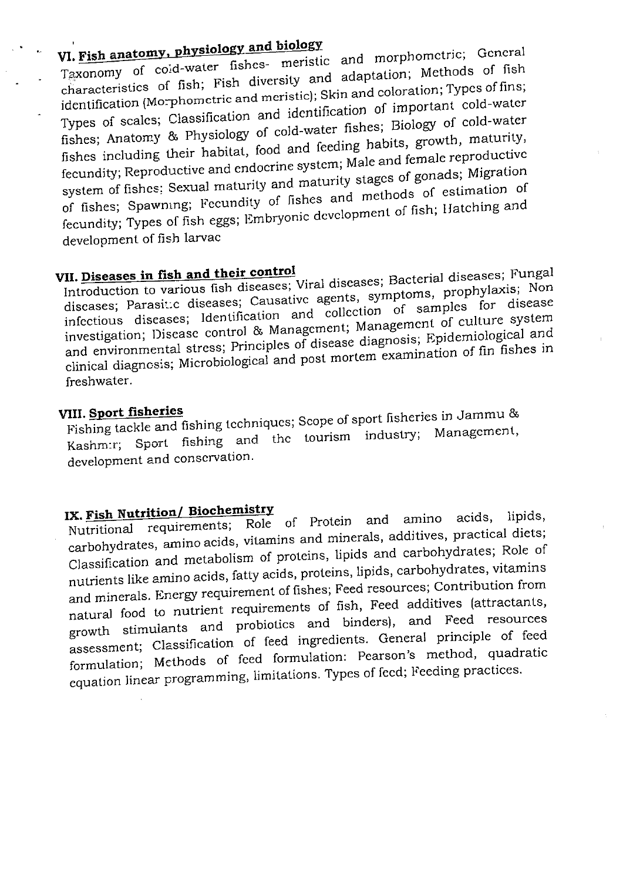# VI. Fish anatomy, physiology and biology

Taxonomy of cold-water fishes- meristic and morphometric; General characteristics of fish; Fish diversity and adaptation; Methods of fish identification (Morphometric and meristic); Skin and coloration; Types of fins; Types of scales; Classification and identification of important cold-water fishes; Anatomy & Physiology of cold-water fishes; Biology of cold-water fishes including their habitat, food and feeding habits, growth, maturity, fecundity; Reproductive and endocrine system; Male and female reproductive system of fishes: Sexual maturity and maturity stages of gonads; Migration of fishes; Spawning; Fecundity of fishes and methods of estimation of fecundity; Types of fish eggs; Embryonic development of fish; Hatching and development of fish larvac

# VII. Diseases in fish and their control

Introduction to various fish diseases; Viral diseases; Bacterial diseases; Fungal discases; Parasitic diseases; Causative agents, symptoms, prophylaxis; Non infectious diseases; Identification and collection of samples for disease investigation; Disease control & Management; Management of culture system and environmental stress; Principles of disease diagnosis; Epidemiological and clinical diagnosis; Microbiological and post mortem examination of fin fishes in freshwater.

### VIII. Sport fisheries

Fishing tackle and fishing techniques; Scope of sport fisheries in Jammu & Kashm:r; Sport fishing and the tourism industry; Management, development and conservation.

# IX. Fish Nutrition/ Biochemistry

Nutritional requirements; Role of Protein and amino acids, lipids. carbohydrates, amino acids, vitamins and minerals, additives, practical diets; Classification and metabolism of proteins, lipids and carbohydrates; Role of nutrients like amino acids, fatty acids, proteins, lipids, carbohydrates, vitamins and minerals. Energy requirement of fishes; Feed resources; Contribution from natural food to nutrient requirements of fish, Feed additives (attractants, growth stimulants and probiotics and binders), and Feed resources assessment; Classification of feed ingredients. General principle of feed formulation; Methods of feed formulation: Pearson's method, quadratic equation linear programming, limitations. Types of feed; Feeding practices.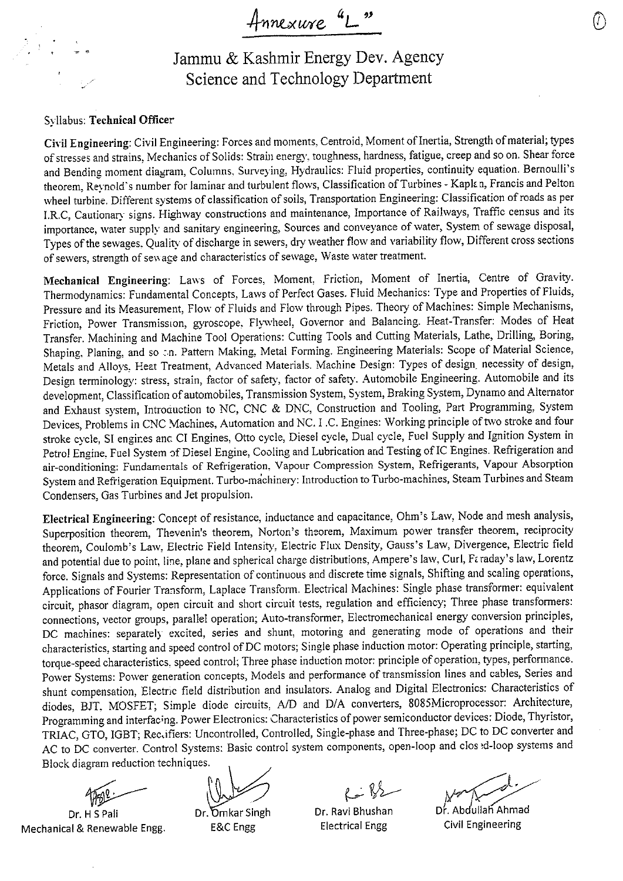Annexure

Jammu & Kashmir Energy Dev. Agency Science and Technology Department

#### Syllabus: Technical Officer

Civil Engineering: Civil Engineering: Forces and moments, Centroid, Moment of Inertia, Strength of material; types of stresses and strains, Mechanics of Solids: Strain energy, toughness, hardness, fatigue, creep and so on. Shear force and Bending moment diagram, Columns, Surveying, Hydraulics: Fluid properties, continuity equation. Bernoulli's theorem, Reynold's number for laminar and turbulent flows, Classification of Turbines - Kaplan, Francis and Pelton wheel turbine. Different systems of classification of soils, Transportation Engineering: Classification of roads as per I.R.C, Cautionary signs. Highway constructions and maintenance, Importance of Railways, Traffic census and its importance, water supply and sanitary engineering, Sources and conveyance of water, System of sewage disposal, Types of the sewages. Quality of discharge in sewers, dry weather flow and variability flow, Different cross sections of sewers, strength of sewage and characteristics of sewage, Waste water treatment.

Mechanical Engineering: Laws of Forces, Moment, Friction, Moment of Inertia, Centre of Gravity. Thermodynamics: Fundamental Concepts, Laws of Perfect Gases. Fluid Mechanics: Type and Properties of Fluids, Pressure and its Measurement, Flow of Fluids and Flow through Pipes. Theory of Machines: Simple Mechanisms, Friction, Power Transmission, gyroscope, Flywheel, Governor and Balancing. Heat-Transfer: Modes of Heat Transfer. Machining and Machine Tool Operations: Cutting Tools and Cutting Materials, Lathe, Drilling, Boring, Shaping, Planing, and so on. Pattern Making, Metal Forming. Engineering Materials: Scope of Material Science, Metals and Alloys. Heat Treatment, Advanced Materials. Machine Design: Types of design, necessity of design, Design terminology: stress, strain, factor of safety, factor of safety. Automobile Engineering. Automobile and its development, Classification of automobiles, Transmission System, System, Braking System, Dynamo and Alternator and Exhaust system, Introduction to NC, CNC & DNC, Construction and Tooling, Part Programming, System Devices, Problems in CNC Machines, Automation and NC. I.C. Engines: Working principle of two stroke and four stroke cycle, SI engines and CI Engines, Otto cycle, Diesel cycle, Dual cycle, Fuel Supply and Ignition System in Petrol Engine, Fuel System of Diesel Engine, Cooling and Lubrication and Testing of IC Engines. Refrigeration and air-conditioning: Fundamentals of Refrigeration, Vapour Compression System, Refrigerants, Vapour Absorption System and Refrigeration Equipment. Turbo-machinery: Introduction to Turbo-machines, Steam Turbines and Steam Condensers, Gas Turbines and Jet propulsion.

Electrical Engineering: Concept of resistance, inductance and capacitance, Ohm's Law, Node and mesh analysis, Superposition theorem, Thevenin's theorem, Norton's theorem, Maximum power transfer theorem, reciprocity theorem, Coulomb's Law, Electric Field Intensity, Electric Flux Density, Gauss's Law, Divergence, Electric field and potential due to point, line, plane and spherical charge distributions, Ampere's law, Curl, Faraday's law, Lorentz force. Signals and Systems: Representation of continuous and discrete time signals, Shifting and scaling operations, Applications of Fourier Transform, Laplace Transform. Electrical Machines: Single phase transformer: equivalent circuit, phasor diagram, open circuit and short circuit tests, regulation and efficiency; Three phase transformers: connections, vector groups, parallel operation; Auto-transformer, Electromechanical energy conversion principles, DC machines: separately excited, series and shunt, motoring and generating mode of operations and their characteristics, starting and speed control of DC motors; Single phase induction motor: Operating principle, starting, torque-speed characteristics, speed control; Three phase induction motor: principle of operation, types, performance. Power Systems: Power generation concepts, Models and performance of transmission lines and cables, Series and shunt compensation, Electric field distribution and insulators. Analog and Digital Electronics: Characteristics of diodes, BJT, MOSFET; Simple diode circuits, A/D and D/A converters, 8085Microprocessor: Architecture, Programming and interfacing. Power Electronics: Characteristics of power semiconductor devices: Diode, Thyristor, TRIAC, GTO, IGBT; Reclifiers: Uncontrolled, Controlled, Single-phase and Three-phase; DC to DC converter and AC to DC converter. Control Systems: Basic control system components, open-loop and closed-loop systems and Block diagram reduction techniques.

Dr. H S Pali Mechanical & Renewable Engg.

Dr. Omkar Singh E&C Engg

Dr. Ravi Bhushan

**Electrical Engg** 

Dr. Abdullah Ahmad

**Civil Engineering**